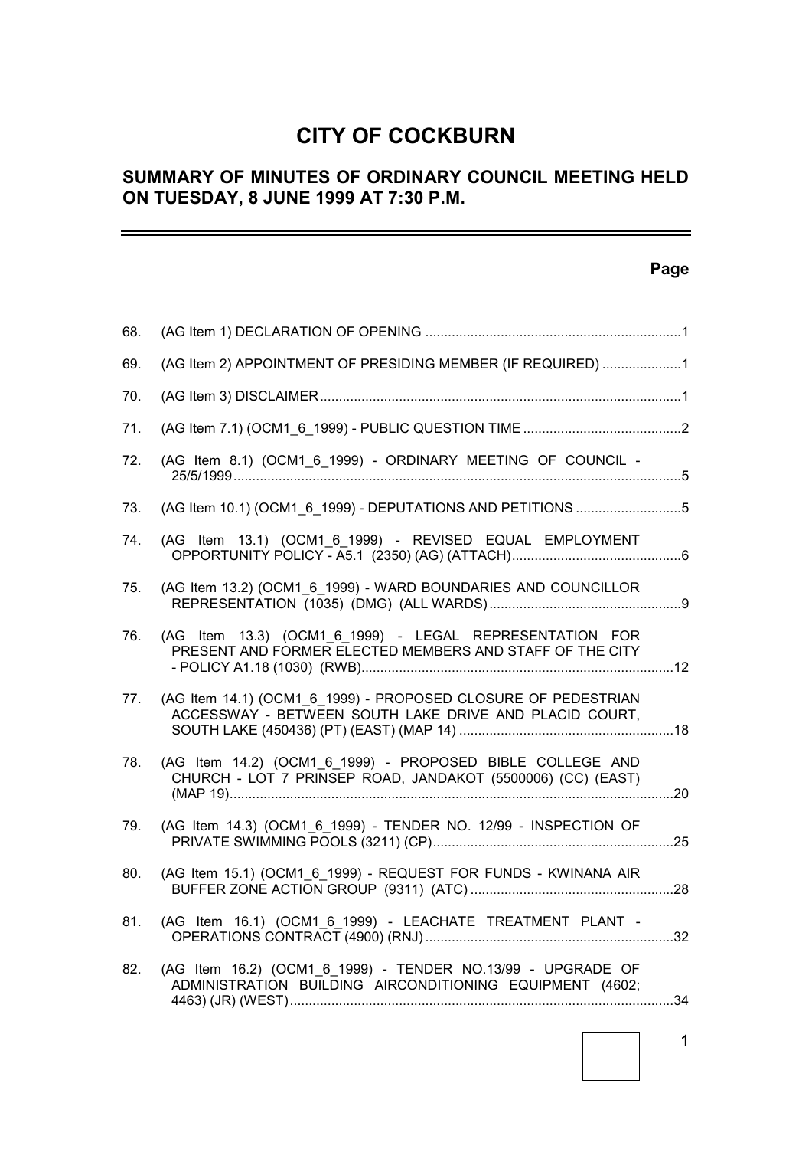# **CITY OF COCKBURN**

# **SUMMARY OF MINUTES OF ORDINARY COUNCIL MEETING HELD ON TUESDAY, 8 JUNE 1999 AT 7:30 P.M.**

# **Page**

 $\equiv$ 

| 68. |                                                                                                                          |  |
|-----|--------------------------------------------------------------------------------------------------------------------------|--|
| 69. | (AG Item 2) APPOINTMENT OF PRESIDING MEMBER (IF REQUIRED) 1                                                              |  |
| 70. |                                                                                                                          |  |
| 71. |                                                                                                                          |  |
| 72. | (AG Item 8.1) (OCM1_6_1999) - ORDINARY MEETING OF COUNCIL -                                                              |  |
| 73. | (AG Item 10.1) (OCM1_6_1999) - DEPUTATIONS AND PETITIONS 5                                                               |  |
| 74. | (AG Item 13.1) (OCM1 6 1999) - REVISED EQUAL EMPLOYMENT                                                                  |  |
| 75. | (AG Item 13.2) (OCM1 6 1999) - WARD BOUNDARIES AND COUNCILLOR                                                            |  |
| 76. | (AG Item 13.3) (OCM1 6 1999) - LEGAL REPRESENTATION FOR<br>PRESENT AND FORMER ELECTED MEMBERS AND STAFF OF THE CITY      |  |
| 77. | (AG Item 14.1) (OCM1 6 1999) - PROPOSED CLOSURE OF PEDESTRIAN<br>ACCESSWAY - BETWEEN SOUTH LAKE DRIVE AND PLACID COURT,  |  |
| 78. | (AG Item 14.2) (OCM1 6 1999) - PROPOSED BIBLE COLLEGE AND<br>CHURCH - LOT 7 PRINSEP ROAD, JANDAKOT (5500006) (CC) (EAST) |  |
| 79. | (AG Item 14.3) (OCM1 6 1999) - TENDER NO. 12/99 - INSPECTION OF                                                          |  |
| 80. | (AG Item 15.1) (OCM1 6 1999) - REQUEST FOR FUNDS - KWINANA AIR                                                           |  |
| 81. | (AG Item 16.1) (OCM1_6_1999) - LEACHATE TREATMENT PLANT -                                                                |  |
| 82. | (AG Item 16.2) (OCM1 6 1999) - TENDER NO.13/99 - UPGRADE OF<br>ADMINISTRATION BUILDING AIRCONDITIONING EQUIPMENT (4602;  |  |
|     |                                                                                                                          |  |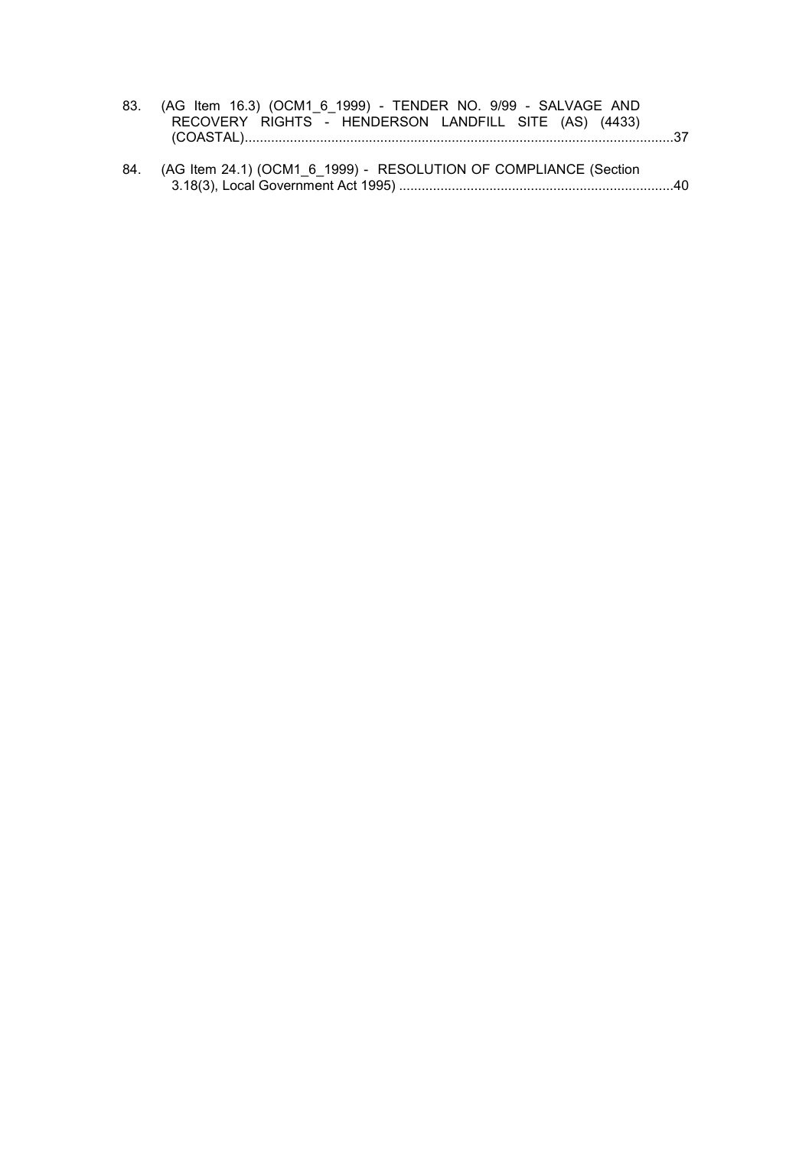| 83. (AG Item 16.3) (OCM1 6 1999) - TENDER NO. 9/99 - SALVAGE AND |  |
|------------------------------------------------------------------|--|
| RECOVERY RIGHTS - HENDERSON LANDFILL SITE (AS) (4433)            |  |
|                                                                  |  |

84. (AG Item 24.1) (OCM1\_6\_1999) - RESOLUTION OF COMPLIANCE (Section 3.18(3), Local Government Act 1995) .........................................................................40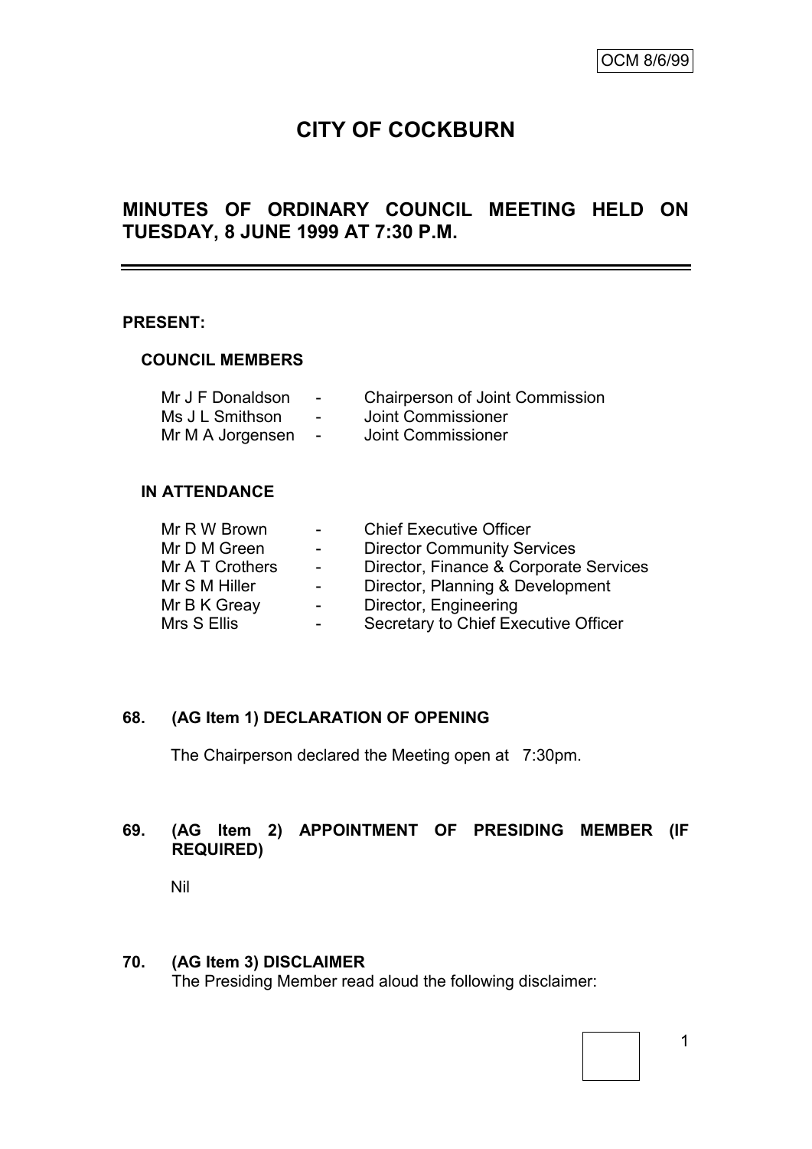# **CITY OF COCKBURN**

# **MINUTES OF ORDINARY COUNCIL MEETING HELD ON TUESDAY, 8 JUNE 1999 AT 7:30 P.M.**

#### **PRESENT:**

#### **COUNCIL MEMBERS**

| Mr J F Donaldson | $\overline{\phantom{0}}$ | <b>Chairperson of Joint Commission</b> |
|------------------|--------------------------|----------------------------------------|
| Ms J L Smithson  | $\overline{\phantom{a}}$ | Joint Commissioner                     |
| Mr M A Jorgensen |                          | Joint Commissioner                     |

## **IN ATTENDANCE**

| Mr R W Brown    | $\blacksquare$           | <b>Chief Executive Officer</b>         |
|-----------------|--------------------------|----------------------------------------|
| Mr D M Green    | $\sim$                   | <b>Director Community Services</b>     |
| Mr A T Crothers | $\blacksquare$           | Director, Finance & Corporate Services |
| Mr S M Hiller   | $\blacksquare$           | Director, Planning & Development       |
| Mr B K Greay    | $\overline{\phantom{a}}$ | Director, Engineering                  |
| Mrs S Ellis     | $\overline{\phantom{a}}$ | Secretary to Chief Executive Officer   |

## **68. (AG Item 1) DECLARATION OF OPENING**

The Chairperson declared the Meeting open at 7:30pm.

# **69. (AG Item 2) APPOINTMENT OF PRESIDING MEMBER (IF REQUIRED)**

Nil

#### **70. (AG Item 3) DISCLAIMER**

The Presiding Member read aloud the following disclaimer: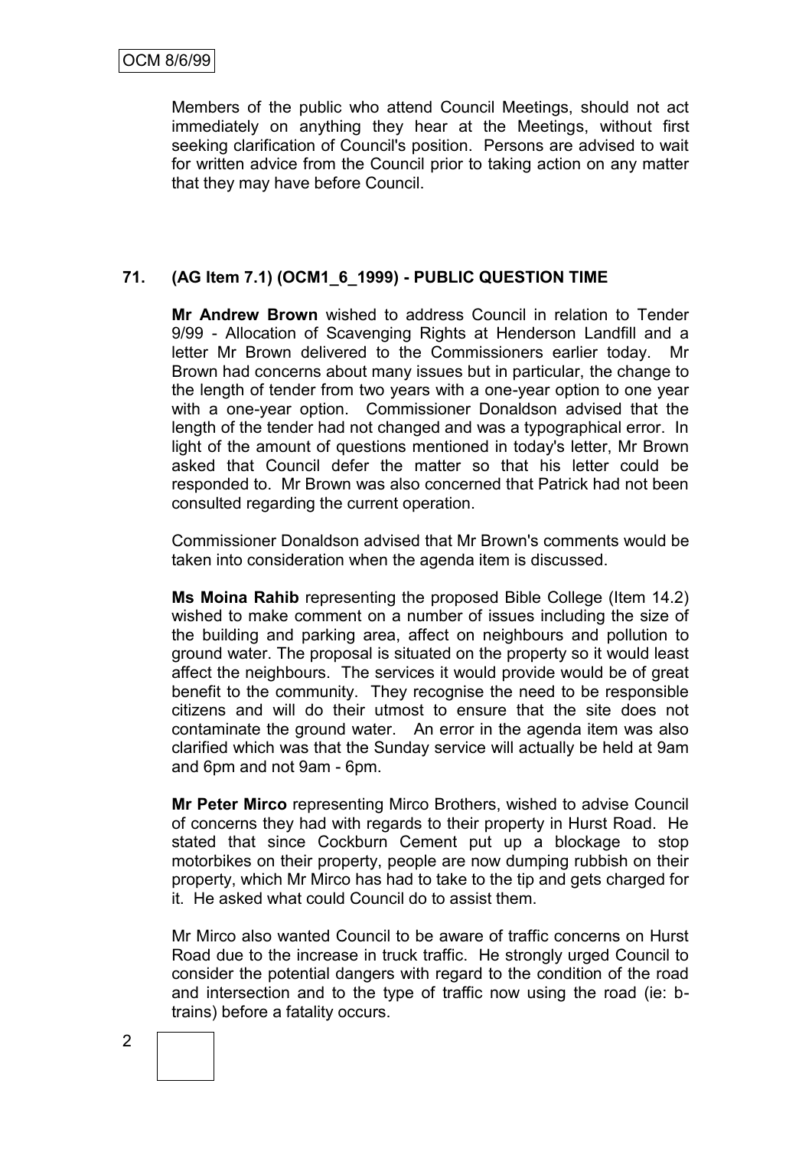Members of the public who attend Council Meetings, should not act immediately on anything they hear at the Meetings, without first seeking clarification of Council's position. Persons are advised to wait for written advice from the Council prior to taking action on any matter that they may have before Council.

# **71. (AG Item 7.1) (OCM1\_6\_1999) - PUBLIC QUESTION TIME**

**Mr Andrew Brown** wished to address Council in relation to Tender 9/99 - Allocation of Scavenging Rights at Henderson Landfill and a letter Mr Brown delivered to the Commissioners earlier today. Mr Brown had concerns about many issues but in particular, the change to the length of tender from two years with a one-year option to one year with a one-year option. Commissioner Donaldson advised that the length of the tender had not changed and was a typographical error. In light of the amount of questions mentioned in today's letter, Mr Brown asked that Council defer the matter so that his letter could be responded to. Mr Brown was also concerned that Patrick had not been consulted regarding the current operation.

Commissioner Donaldson advised that Mr Brown's comments would be taken into consideration when the agenda item is discussed.

**Ms Moina Rahib** representing the proposed Bible College (Item 14.2) wished to make comment on a number of issues including the size of the building and parking area, affect on neighbours and pollution to ground water. The proposal is situated on the property so it would least affect the neighbours. The services it would provide would be of great benefit to the community. They recognise the need to be responsible citizens and will do their utmost to ensure that the site does not contaminate the ground water. An error in the agenda item was also clarified which was that the Sunday service will actually be held at 9am and 6pm and not 9am - 6pm.

**Mr Peter Mirco** representing Mirco Brothers, wished to advise Council of concerns they had with regards to their property in Hurst Road. He stated that since Cockburn Cement put up a blockage to stop motorbikes on their property, people are now dumping rubbish on their property, which Mr Mirco has had to take to the tip and gets charged for it. He asked what could Council do to assist them.

Mr Mirco also wanted Council to be aware of traffic concerns on Hurst Road due to the increase in truck traffic. He strongly urged Council to consider the potential dangers with regard to the condition of the road and intersection and to the type of traffic now using the road (ie: btrains) before a fatality occurs.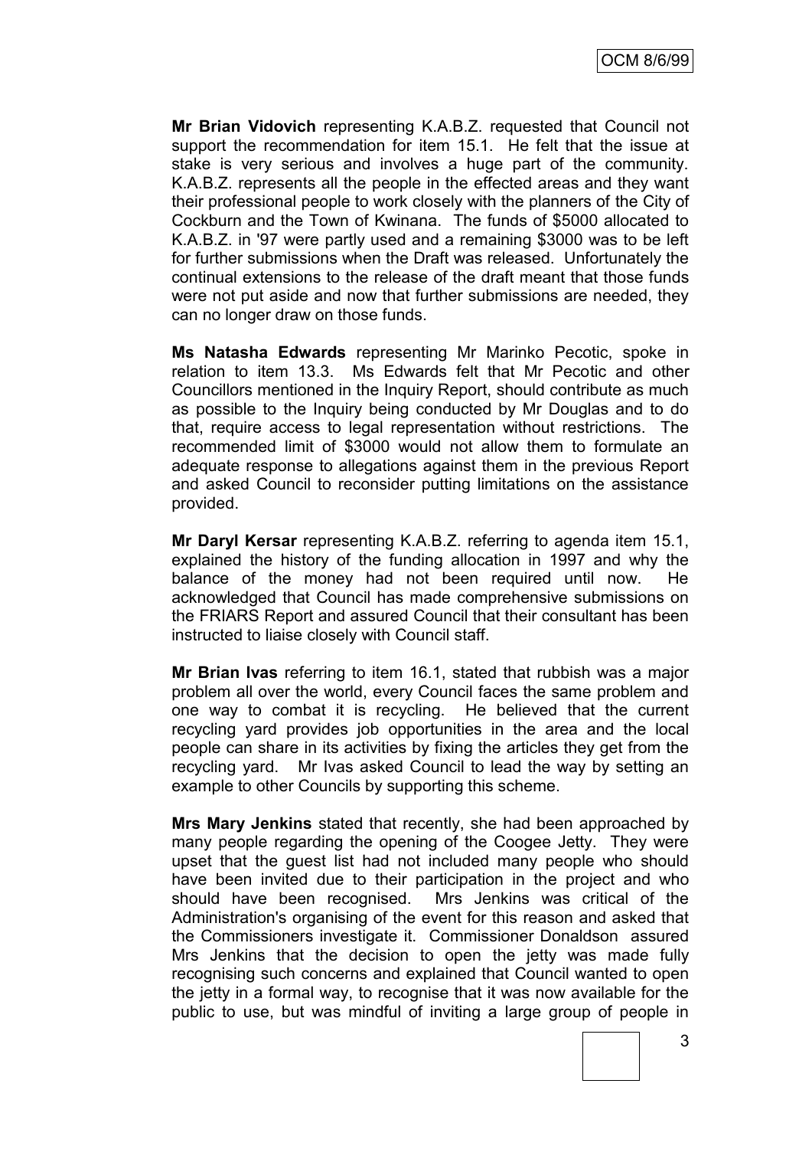**Mr Brian Vidovich** representing K.A.B.Z. requested that Council not support the recommendation for item 15.1. He felt that the issue at stake is very serious and involves a huge part of the community. K.A.B.Z. represents all the people in the effected areas and they want their professional people to work closely with the planners of the City of Cockburn and the Town of Kwinana. The funds of \$5000 allocated to K.A.B.Z. in '97 were partly used and a remaining \$3000 was to be left for further submissions when the Draft was released. Unfortunately the continual extensions to the release of the draft meant that those funds were not put aside and now that further submissions are needed, they can no longer draw on those funds.

**Ms Natasha Edwards** representing Mr Marinko Pecotic, spoke in relation to item 13.3. Ms Edwards felt that Mr Pecotic and other Councillors mentioned in the Inquiry Report, should contribute as much as possible to the Inquiry being conducted by Mr Douglas and to do that, require access to legal representation without restrictions. The recommended limit of \$3000 would not allow them to formulate an adequate response to allegations against them in the previous Report and asked Council to reconsider putting limitations on the assistance provided.

**Mr Daryl Kersar** representing K.A.B.Z. referring to agenda item 15.1, explained the history of the funding allocation in 1997 and why the balance of the money had not been required until now. He acknowledged that Council has made comprehensive submissions on the FRIARS Report and assured Council that their consultant has been instructed to liaise closely with Council staff.

**Mr Brian Ivas** referring to item 16.1, stated that rubbish was a major problem all over the world, every Council faces the same problem and one way to combat it is recycling. He believed that the current recycling yard provides job opportunities in the area and the local people can share in its activities by fixing the articles they get from the recycling yard. Mr Ivas asked Council to lead the way by setting an example to other Councils by supporting this scheme.

**Mrs Mary Jenkins** stated that recently, she had been approached by many people regarding the opening of the Coogee Jetty. They were upset that the guest list had not included many people who should have been invited due to their participation in the project and who should have been recognised. Mrs Jenkins was critical of the Administration's organising of the event for this reason and asked that the Commissioners investigate it. Commissioner Donaldson assured Mrs Jenkins that the decision to open the jetty was made fully recognising such concerns and explained that Council wanted to open the jetty in a formal way, to recognise that it was now available for the public to use, but was mindful of inviting a large group of people in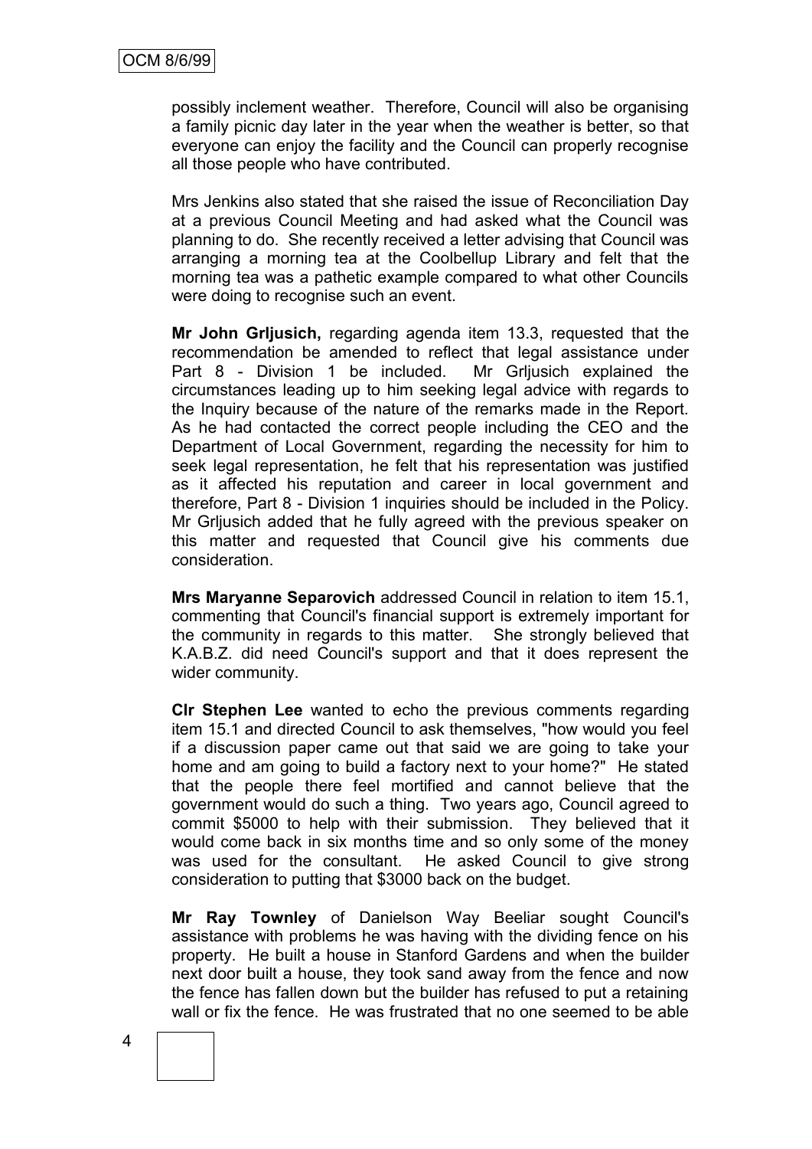possibly inclement weather. Therefore, Council will also be organising a family picnic day later in the year when the weather is better, so that everyone can enjoy the facility and the Council can properly recognise all those people who have contributed.

Mrs Jenkins also stated that she raised the issue of Reconciliation Day at a previous Council Meeting and had asked what the Council was planning to do. She recently received a letter advising that Council was arranging a morning tea at the Coolbellup Library and felt that the morning tea was a pathetic example compared to what other Councils were doing to recognise such an event.

**Mr John Grljusich,** regarding agenda item 13.3, requested that the recommendation be amended to reflect that legal assistance under Part 8 - Division 1 be included. Mr Grljusich explained the circumstances leading up to him seeking legal advice with regards to the Inquiry because of the nature of the remarks made in the Report. As he had contacted the correct people including the CEO and the Department of Local Government, regarding the necessity for him to seek legal representation, he felt that his representation was justified as it affected his reputation and career in local government and therefore, Part 8 - Division 1 inquiries should be included in the Policy. Mr Grljusich added that he fully agreed with the previous speaker on this matter and requested that Council give his comments due consideration.

**Mrs Maryanne Separovich** addressed Council in relation to item 15.1, commenting that Council's financial support is extremely important for the community in regards to this matter. She strongly believed that K.A.B.Z. did need Council's support and that it does represent the wider community.

**Clr Stephen Lee** wanted to echo the previous comments regarding item 15.1 and directed Council to ask themselves, "how would you feel if a discussion paper came out that said we are going to take your home and am going to build a factory next to your home?" He stated that the people there feel mortified and cannot believe that the government would do such a thing. Two years ago, Council agreed to commit \$5000 to help with their submission. They believed that it would come back in six months time and so only some of the money was used for the consultant. He asked Council to give strong consideration to putting that \$3000 back on the budget.

**Mr Ray Townley** of Danielson Way Beeliar sought Council's assistance with problems he was having with the dividing fence on his property. He built a house in Stanford Gardens and when the builder next door built a house, they took sand away from the fence and now the fence has fallen down but the builder has refused to put a retaining wall or fix the fence. He was frustrated that no one seemed to be able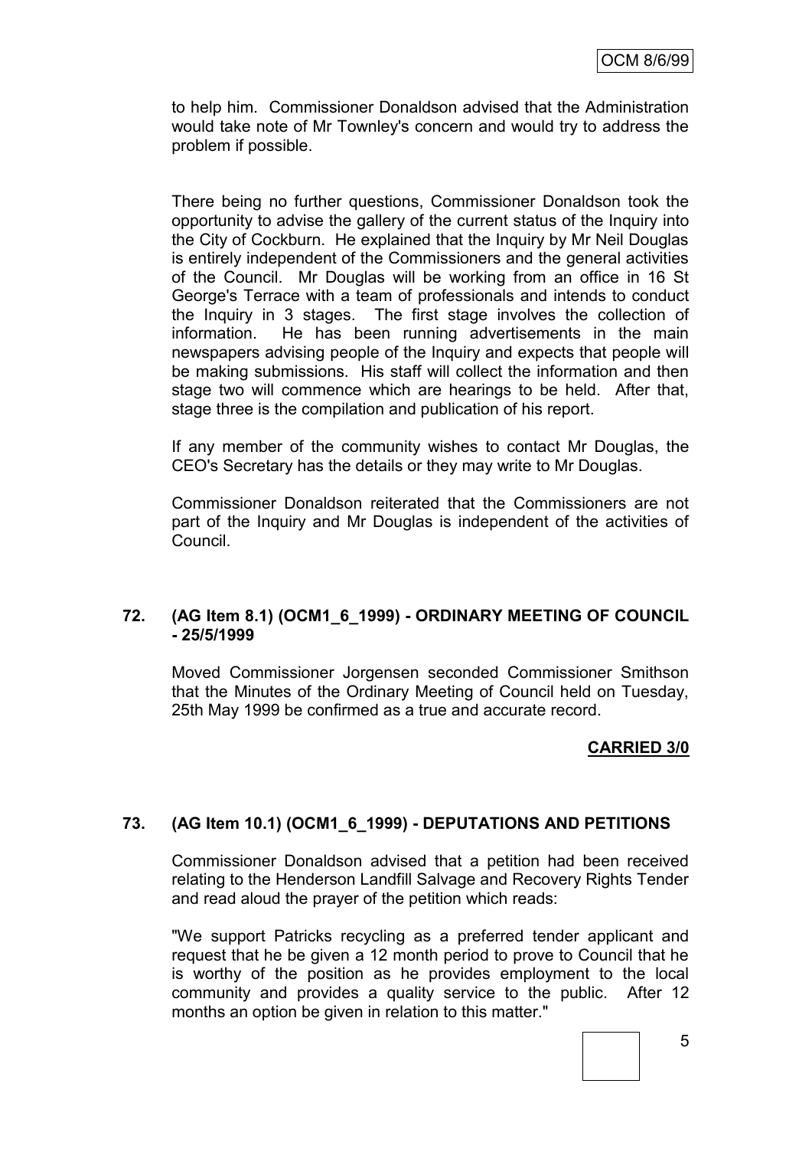to help him. Commissioner Donaldson advised that the Administration would take note of Mr Townley's concern and would try to address the problem if possible.

There being no further questions, Commissioner Donaldson took the opportunity to advise the gallery of the current status of the Inquiry into the City of Cockburn. He explained that the Inquiry by Mr Neil Douglas is entirely independent of the Commissioners and the general activities of the Council. Mr Douglas will be working from an office in 16 St George's Terrace with a team of professionals and intends to conduct the Inquiry in 3 stages. The first stage involves the collection of information. He has been running advertisements in the main newspapers advising people of the Inquiry and expects that people will be making submissions. His staff will collect the information and then stage two will commence which are hearings to be held. After that, stage three is the compilation and publication of his report.

If any member of the community wishes to contact Mr Douglas, the CEO's Secretary has the details or they may write to Mr Douglas.

Commissioner Donaldson reiterated that the Commissioners are not part of the Inquiry and Mr Douglas is independent of the activities of Council.

## **72. (AG Item 8.1) (OCM1\_6\_1999) - ORDINARY MEETING OF COUNCIL - 25/5/1999**

Moved Commissioner Jorgensen seconded Commissioner Smithson that the Minutes of the Ordinary Meeting of Council held on Tuesday, 25th May 1999 be confirmed as a true and accurate record.

# **CARRIED 3/0**

## **73. (AG Item 10.1) (OCM1\_6\_1999) - DEPUTATIONS AND PETITIONS**

Commissioner Donaldson advised that a petition had been received relating to the Henderson Landfill Salvage and Recovery Rights Tender and read aloud the prayer of the petition which reads:

"We support Patricks recycling as a preferred tender applicant and request that he be given a 12 month period to prove to Council that he is worthy of the position as he provides employment to the local community and provides a quality service to the public. After 12 months an option be given in relation to this matter."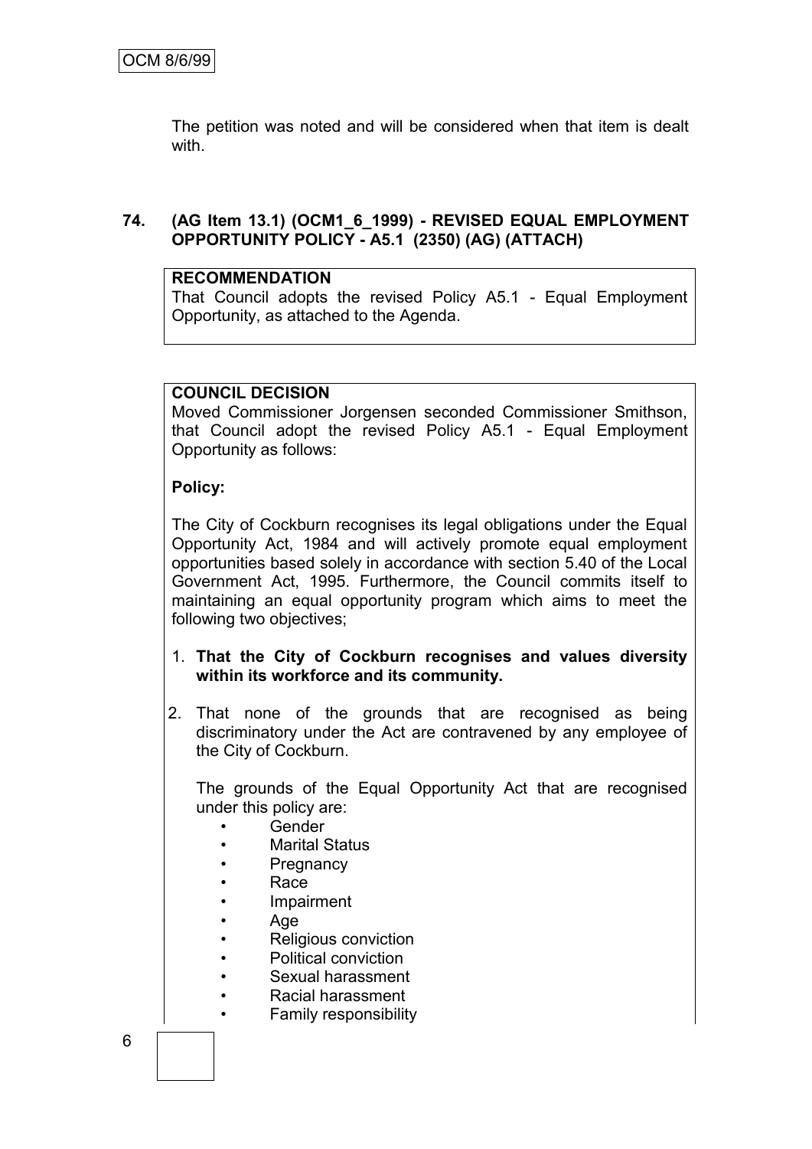The petition was noted and will be considered when that item is dealt with.

# **74. (AG Item 13.1) (OCM1\_6\_1999) - REVISED EQUAL EMPLOYMENT OPPORTUNITY POLICY - A5.1 (2350) (AG) (ATTACH)**

# **RECOMMENDATION**

That Council adopts the revised Policy A5.1 - Equal Employment Opportunity, as attached to the Agenda.

## **COUNCIL DECISION**

Moved Commissioner Jorgensen seconded Commissioner Smithson, that Council adopt the revised Policy A5.1 - Equal Employment Opportunity as follows:

# **Policy:**

The City of Cockburn recognises its legal obligations under the Equal Opportunity Act, 1984 and will actively promote equal employment opportunities based solely in accordance with section 5.40 of the Local Government Act, 1995. Furthermore, the Council commits itself to maintaining an equal opportunity program which aims to meet the following two objectives;

- 1. **That the City of Cockburn recognises and values diversity within its workforce and its community.**
- 2. That none of the grounds that are recognised as being discriminatory under the Act are contravened by any employee of the City of Cockburn.

The grounds of the Equal Opportunity Act that are recognised under this policy are:

- Gender
- Marital Status
- Pregnancy
- Race
- Impairment
- Age
- Religious conviction
- Political conviction
- Sexual harassment
- Racial harassment
- Family responsibility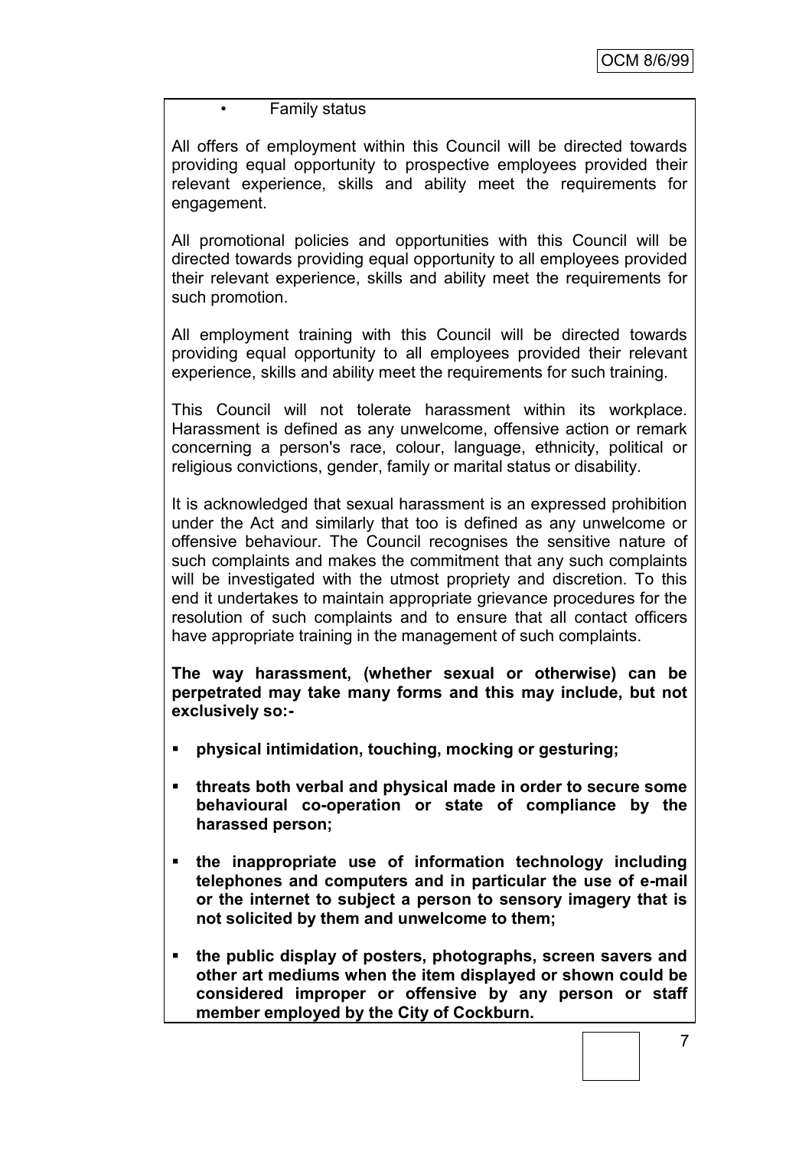## • Family status

All offers of employment within this Council will be directed towards providing equal opportunity to prospective employees provided their relevant experience, skills and ability meet the requirements for engagement.

All promotional policies and opportunities with this Council will be directed towards providing equal opportunity to all employees provided their relevant experience, skills and ability meet the requirements for such promotion.

All employment training with this Council will be directed towards providing equal opportunity to all employees provided their relevant experience, skills and ability meet the requirements for such training.

This Council will not tolerate harassment within its workplace. Harassment is defined as any unwelcome, offensive action or remark concerning a person's race, colour, language, ethnicity, political or religious convictions, gender, family or marital status or disability.

It is acknowledged that sexual harassment is an expressed prohibition under the Act and similarly that too is defined as any unwelcome or offensive behaviour. The Council recognises the sensitive nature of such complaints and makes the commitment that any such complaints will be investigated with the utmost propriety and discretion. To this end it undertakes to maintain appropriate grievance procedures for the resolution of such complaints and to ensure that all contact officers have appropriate training in the management of such complaints.

**The way harassment, (whether sexual or otherwise) can be perpetrated may take many forms and this may include, but not exclusively so:-**

- **physical intimidation, touching, mocking or gesturing;**
- **threats both verbal and physical made in order to secure some behavioural co-operation or state of compliance by the harassed person;**
- **the inappropriate use of information technology including telephones and computers and in particular the use of e-mail or the internet to subject a person to sensory imagery that is not solicited by them and unwelcome to them;**
- **the public display of posters, photographs, screen savers and other art mediums when the item displayed or shown could be considered improper or offensive by any person or staff member employed by the City of Cockburn.**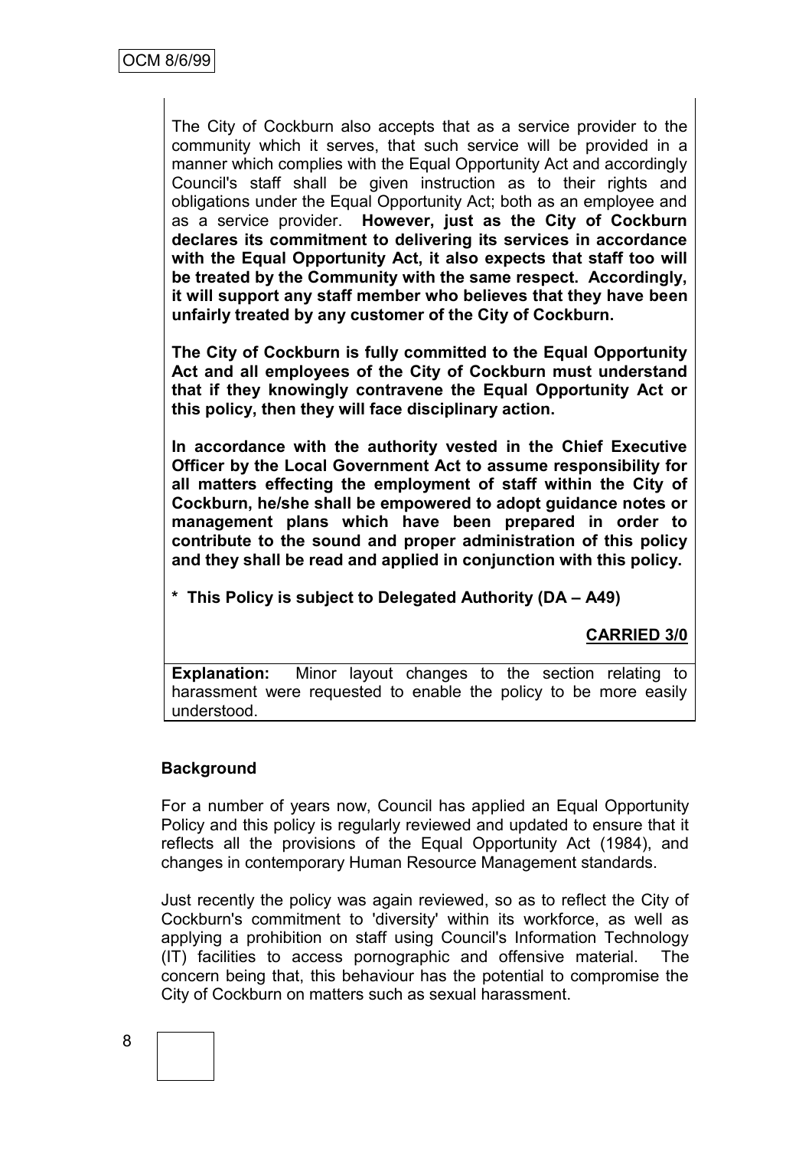The City of Cockburn also accepts that as a service provider to the community which it serves, that such service will be provided in a manner which complies with the Equal Opportunity Act and accordingly Council's staff shall be given instruction as to their rights and obligations under the Equal Opportunity Act; both as an employee and as a service provider. **However, just as the City of Cockburn declares its commitment to delivering its services in accordance with the Equal Opportunity Act, it also expects that staff too will be treated by the Community with the same respect. Accordingly, it will support any staff member who believes that they have been unfairly treated by any customer of the City of Cockburn.**

**The City of Cockburn is fully committed to the Equal Opportunity Act and all employees of the City of Cockburn must understand that if they knowingly contravene the Equal Opportunity Act or this policy, then they will face disciplinary action.**

**In accordance with the authority vested in the Chief Executive Officer by the Local Government Act to assume responsibility for all matters effecting the employment of staff within the City of Cockburn, he/she shall be empowered to adopt guidance notes or management plans which have been prepared in order to contribute to the sound and proper administration of this policy and they shall be read and applied in conjunction with this policy.**

**\* This Policy is subject to Delegated Authority (DA – A49)**

# **CARRIED 3/0**

**Explanation:** Minor layout changes to the section relating to harassment were requested to enable the policy to be more easily understood.

## **Background**

For a number of years now, Council has applied an Equal Opportunity Policy and this policy is regularly reviewed and updated to ensure that it reflects all the provisions of the Equal Opportunity Act (1984), and changes in contemporary Human Resource Management standards.

Just recently the policy was again reviewed, so as to reflect the City of Cockburn's commitment to 'diversity' within its workforce, as well as applying a prohibition on staff using Council's Information Technology (IT) facilities to access pornographic and offensive material. The concern being that, this behaviour has the potential to compromise the City of Cockburn on matters such as sexual harassment.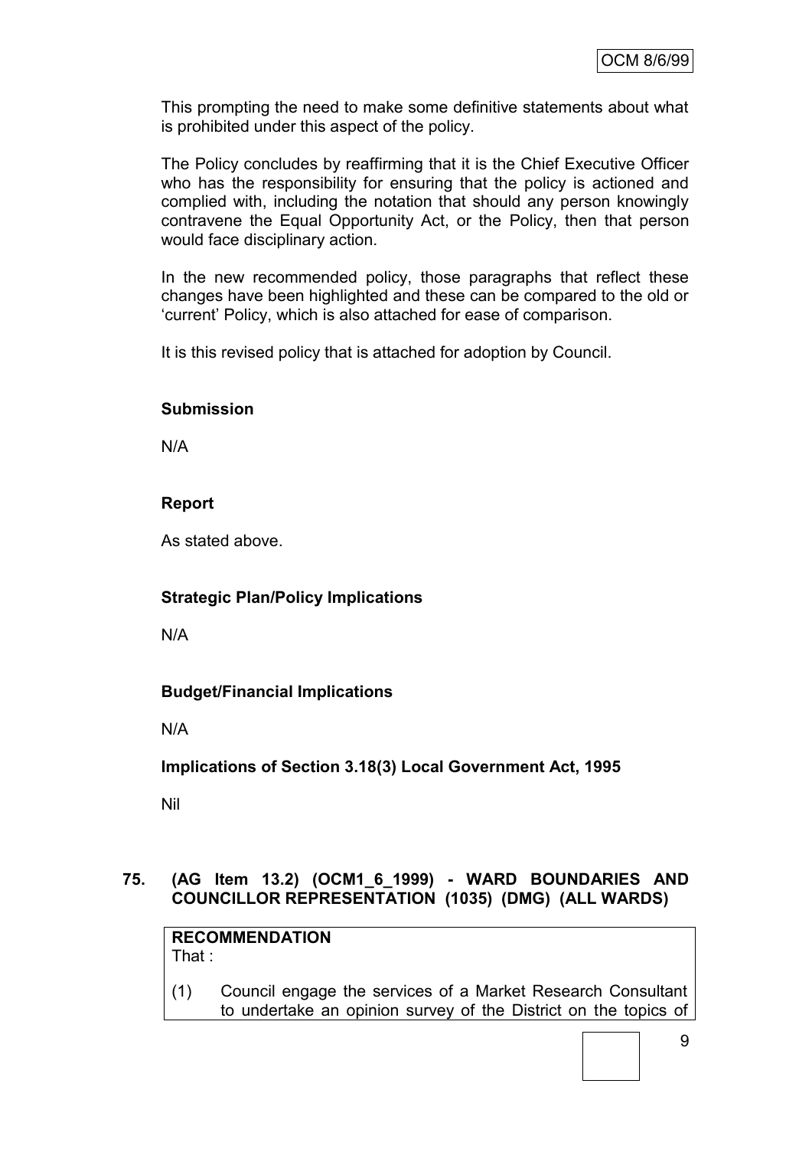This prompting the need to make some definitive statements about what is prohibited under this aspect of the policy.

The Policy concludes by reaffirming that it is the Chief Executive Officer who has the responsibility for ensuring that the policy is actioned and complied with, including the notation that should any person knowingly contravene the Equal Opportunity Act, or the Policy, then that person would face disciplinary action.

In the new recommended policy, those paragraphs that reflect these changes have been highlighted and these can be compared to the old or "current" Policy, which is also attached for ease of comparison.

It is this revised policy that is attached for adoption by Council.

## **Submission**

N/A

# **Report**

As stated above.

# **Strategic Plan/Policy Implications**

N/A

## **Budget/Financial Implications**

N/A

**Implications of Section 3.18(3) Local Government Act, 1995**

Nil

# **75. (AG Item 13.2) (OCM1\_6\_1999) - WARD BOUNDARIES AND COUNCILLOR REPRESENTATION (1035) (DMG) (ALL WARDS)**

**RECOMMENDATION** That :

(1) Council engage the services of a Market Research Consultant to undertake an opinion survey of the District on the topics of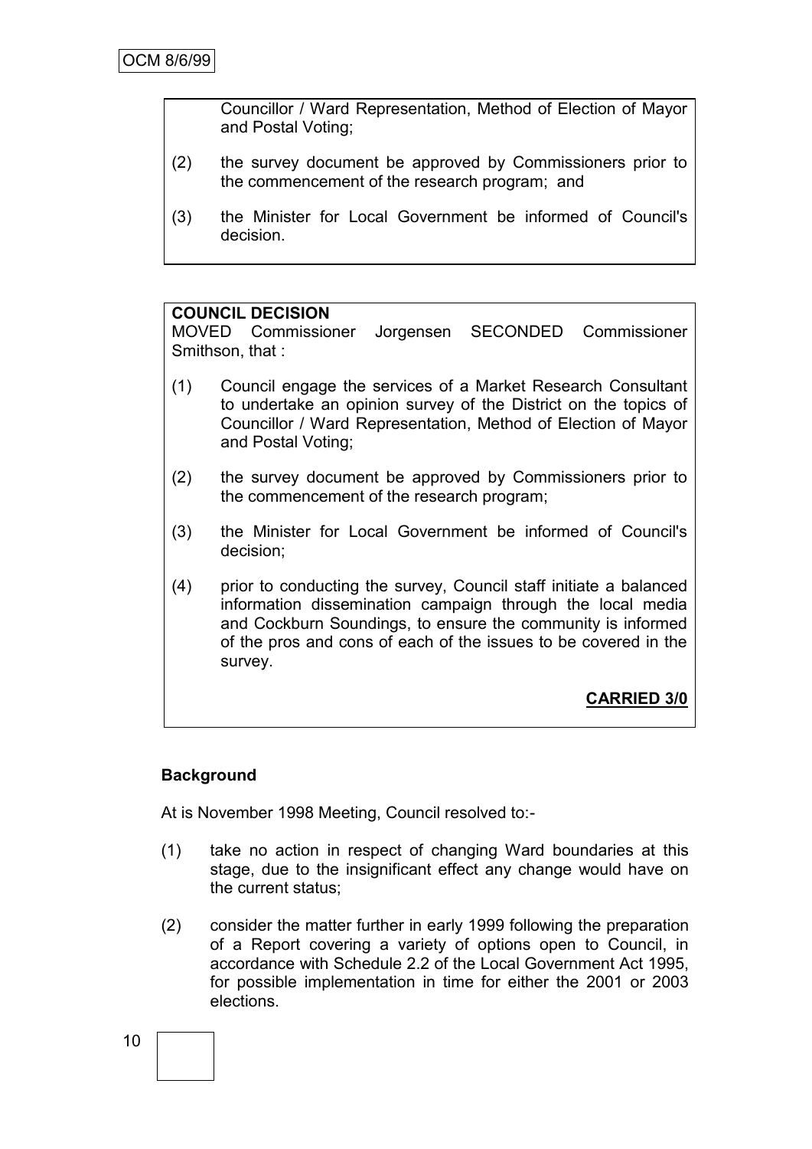Councillor / Ward Representation, Method of Election of Mayor and Postal Voting;

- (2) the survey document be approved by Commissioners prior to the commencement of the research program; and
- (3) the Minister for Local Government be informed of Council's decision.

#### **COUNCIL DECISION**

MOVED Commissioner Jorgensen SECONDED Commissioner Smithson, that :

- (1) Council engage the services of a Market Research Consultant to undertake an opinion survey of the District on the topics of Councillor / Ward Representation, Method of Election of Mayor and Postal Voting;
- (2) the survey document be approved by Commissioners prior to the commencement of the research program;
- (3) the Minister for Local Government be informed of Council's decision;
- (4) prior to conducting the survey, Council staff initiate a balanced information dissemination campaign through the local media and Cockburn Soundings, to ensure the community is informed of the pros and cons of each of the issues to be covered in the survey.

# **CARRIED 3/0**

## **Background**

At is November 1998 Meeting, Council resolved to:-

- (1) take no action in respect of changing Ward boundaries at this stage, due to the insignificant effect any change would have on the current status;
- (2) consider the matter further in early 1999 following the preparation of a Report covering a variety of options open to Council, in accordance with Schedule 2.2 of the Local Government Act 1995, for possible implementation in time for either the 2001 or 2003 elections.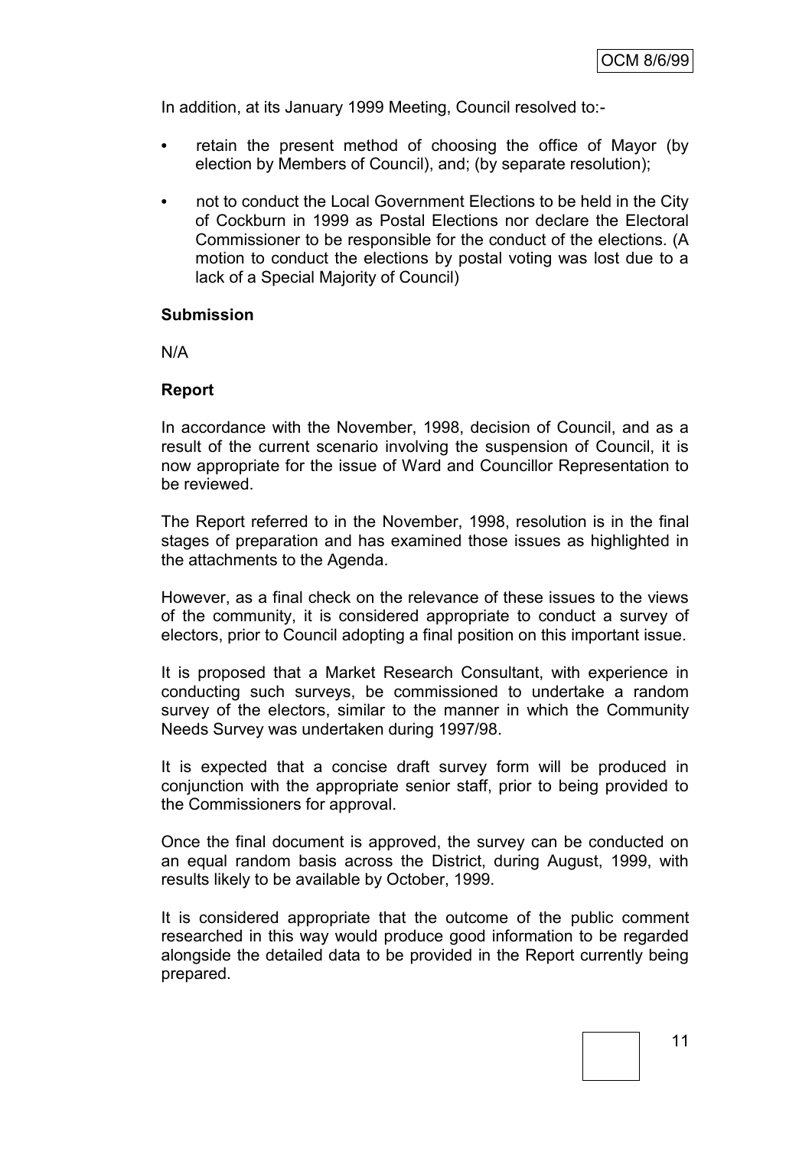In addition, at its January 1999 Meeting, Council resolved to:-

- **•** retain the present method of choosing the office of Mayor (by election by Members of Council), and; (by separate resolution);
- **•** not to conduct the Local Government Elections to be held in the City of Cockburn in 1999 as Postal Elections nor declare the Electoral Commissioner to be responsible for the conduct of the elections. (A motion to conduct the elections by postal voting was lost due to a lack of a Special Majority of Council)

#### **Submission**

N/A

#### **Report**

In accordance with the November, 1998, decision of Council, and as a result of the current scenario involving the suspension of Council, it is now appropriate for the issue of Ward and Councillor Representation to be reviewed.

The Report referred to in the November, 1998, resolution is in the final stages of preparation and has examined those issues as highlighted in the attachments to the Agenda.

However, as a final check on the relevance of these issues to the views of the community, it is considered appropriate to conduct a survey of electors, prior to Council adopting a final position on this important issue.

It is proposed that a Market Research Consultant, with experience in conducting such surveys, be commissioned to undertake a random survey of the electors, similar to the manner in which the Community Needs Survey was undertaken during 1997/98.

It is expected that a concise draft survey form will be produced in conjunction with the appropriate senior staff, prior to being provided to the Commissioners for approval.

Once the final document is approved, the survey can be conducted on an equal random basis across the District, during August, 1999, with results likely to be available by October, 1999.

It is considered appropriate that the outcome of the public comment researched in this way would produce good information to be regarded alongside the detailed data to be provided in the Report currently being prepared.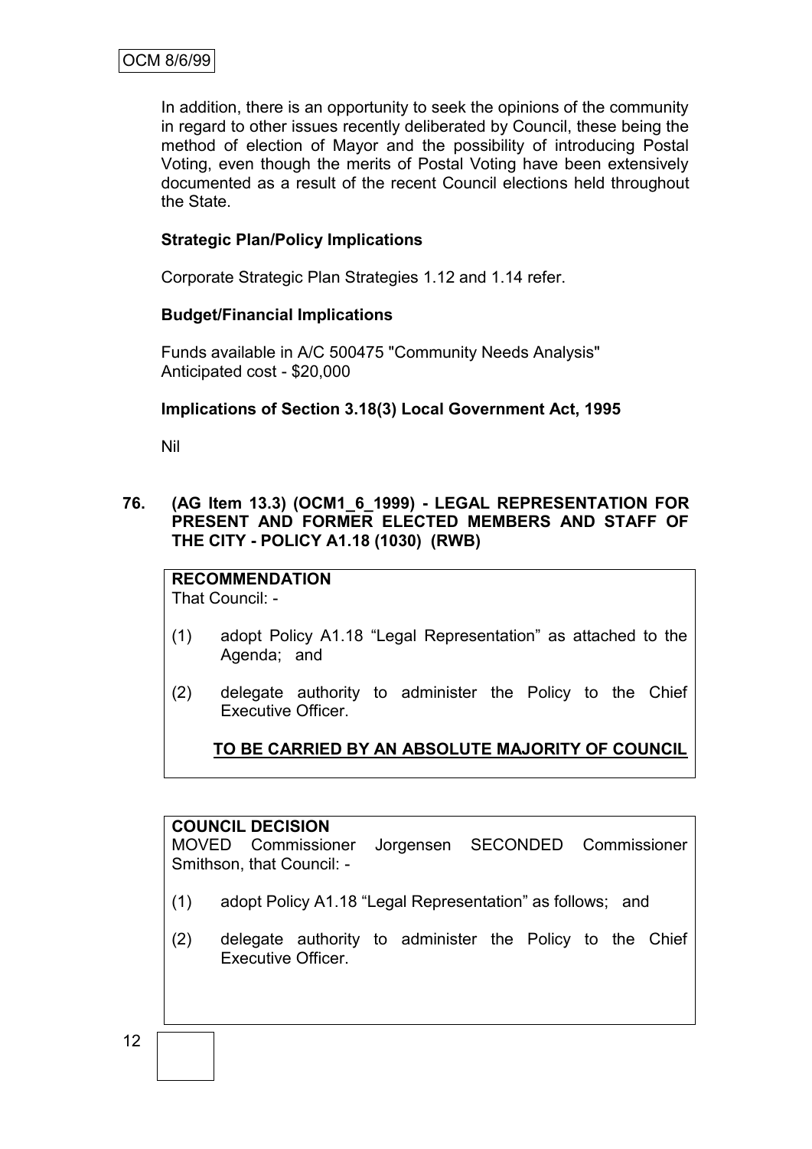In addition, there is an opportunity to seek the opinions of the community in regard to other issues recently deliberated by Council, these being the method of election of Mayor and the possibility of introducing Postal Voting, even though the merits of Postal Voting have been extensively documented as a result of the recent Council elections held throughout the State.

# **Strategic Plan/Policy Implications**

Corporate Strategic Plan Strategies 1.12 and 1.14 refer.

# **Budget/Financial Implications**

Funds available in A/C 500475 "Community Needs Analysis" Anticipated cost - \$20,000

# **Implications of Section 3.18(3) Local Government Act, 1995**

Nil

**76. (AG Item 13.3) (OCM1\_6\_1999) - LEGAL REPRESENTATION FOR PRESENT AND FORMER ELECTED MEMBERS AND STAFF OF THE CITY - POLICY A1.18 (1030) (RWB)**

**RECOMMENDATION** That Council: -

- (1) adopt Policy A1.18 "Legal Representation" as attached to the Agenda; and
- (2) delegate authority to administer the Policy to the Chief Executive Officer.

# **TO BE CARRIED BY AN ABSOLUTE MAJORITY OF COUNCIL**

## **COUNCIL DECISION**

MOVED Commissioner Jorgensen SECONDED Commissioner Smithson, that Council: -

- (1) adopt Policy A1.18 "Legal Representation" as follows; and
- (2) delegate authority to administer the Policy to the Chief Executive Officer.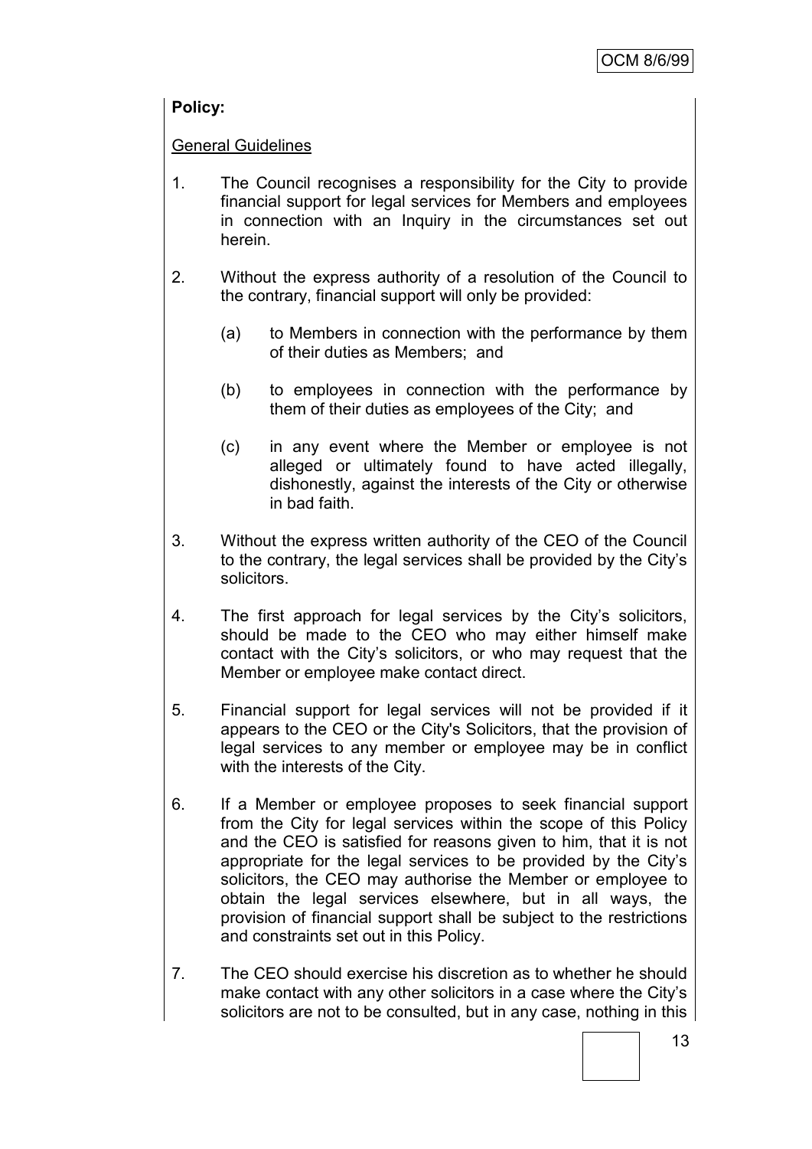# **Policy:**

# General Guidelines

- 1. The Council recognises a responsibility for the City to provide financial support for legal services for Members and employees in connection with an Inquiry in the circumstances set out herein.
- 2. Without the express authority of a resolution of the Council to the contrary, financial support will only be provided:
	- (a) to Members in connection with the performance by them of their duties as Members; and
	- (b) to employees in connection with the performance by them of their duties as employees of the City; and
	- (c) in any event where the Member or employee is not alleged or ultimately found to have acted illegally, dishonestly, against the interests of the City or otherwise in bad faith.
- 3. Without the express written authority of the CEO of the Council to the contrary, the legal services shall be provided by the City"s solicitors.
- 4. The first approach for legal services by the City"s solicitors, should be made to the CEO who may either himself make contact with the City"s solicitors, or who may request that the Member or employee make contact direct.
- 5. Financial support for legal services will not be provided if it appears to the CEO or the City's Solicitors, that the provision of legal services to any member or employee may be in conflict with the interests of the City.
- 6. If a Member or employee proposes to seek financial support from the City for legal services within the scope of this Policy and the CEO is satisfied for reasons given to him, that it is not appropriate for the legal services to be provided by the City"s solicitors, the CEO may authorise the Member or employee to obtain the legal services elsewhere, but in all ways, the provision of financial support shall be subject to the restrictions and constraints set out in this Policy.
- 7. The CEO should exercise his discretion as to whether he should make contact with any other solicitors in a case where the City"s solicitors are not to be consulted, but in any case, nothing in this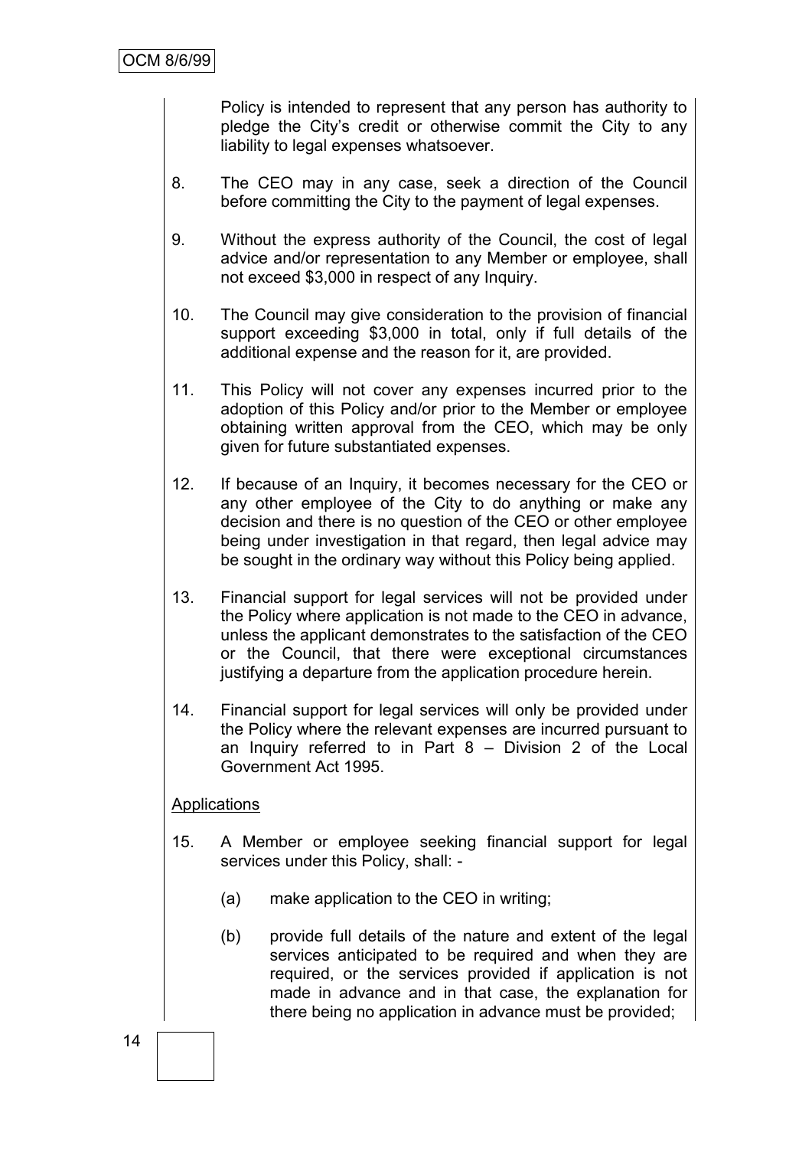Policy is intended to represent that any person has authority to pledge the City"s credit or otherwise commit the City to any liability to legal expenses whatsoever.

- 8. The CEO may in any case, seek a direction of the Council before committing the City to the payment of legal expenses.
- 9. Without the express authority of the Council, the cost of legal advice and/or representation to any Member or employee, shall not exceed \$3,000 in respect of any Inquiry.
- 10. The Council may give consideration to the provision of financial support exceeding \$3,000 in total, only if full details of the additional expense and the reason for it, are provided.
- 11. This Policy will not cover any expenses incurred prior to the adoption of this Policy and/or prior to the Member or employee obtaining written approval from the CEO, which may be only given for future substantiated expenses.
- 12. If because of an Inquiry, it becomes necessary for the CEO or any other employee of the City to do anything or make any decision and there is no question of the CEO or other employee being under investigation in that regard, then legal advice may be sought in the ordinary way without this Policy being applied.
- 13. Financial support for legal services will not be provided under the Policy where application is not made to the CEO in advance, unless the applicant demonstrates to the satisfaction of the CEO or the Council, that there were exceptional circumstances justifying a departure from the application procedure herein.
- 14. Financial support for legal services will only be provided under the Policy where the relevant expenses are incurred pursuant to an Inquiry referred to in Part 8 – Division 2 of the Local Government Act 1995.

## **Applications**

- 15. A Member or employee seeking financial support for legal services under this Policy, shall: -
	- (a) make application to the CEO in writing;
	- (b) provide full details of the nature and extent of the legal services anticipated to be required and when they are required, or the services provided if application is not made in advance and in that case, the explanation for there being no application in advance must be provided;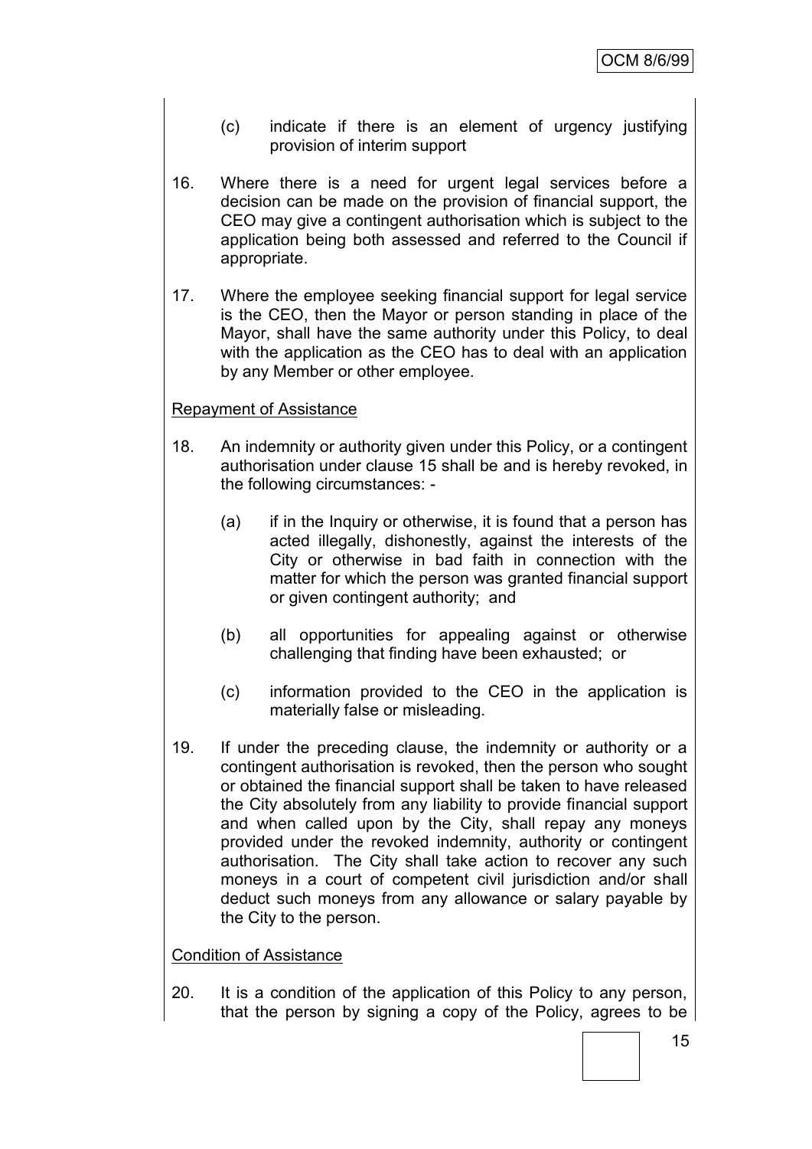- (c) indicate if there is an element of urgency justifying provision of interim support
- 16. Where there is a need for urgent legal services before a decision can be made on the provision of financial support, the CEO may give a contingent authorisation which is subject to the application being both assessed and referred to the Council if appropriate.
- 17. Where the employee seeking financial support for legal service is the CEO, then the Mayor or person standing in place of the Mayor, shall have the same authority under this Policy, to deal with the application as the CEO has to deal with an application by any Member or other employee.

## Repayment of Assistance

- 18. An indemnity or authority given under this Policy, or a contingent authorisation under clause 15 shall be and is hereby revoked, in the following circumstances: -
	- (a) if in the Inquiry or otherwise, it is found that a person has acted illegally, dishonestly, against the interests of the City or otherwise in bad faith in connection with the matter for which the person was granted financial support or given contingent authority; and
	- (b) all opportunities for appealing against or otherwise challenging that finding have been exhausted; or
	- (c) information provided to the CEO in the application is materially false or misleading.
- 19. If under the preceding clause, the indemnity or authority or a contingent authorisation is revoked, then the person who sought or obtained the financial support shall be taken to have released the City absolutely from any liability to provide financial support and when called upon by the City, shall repay any moneys provided under the revoked indemnity, authority or contingent authorisation. The City shall take action to recover any such moneys in a court of competent civil jurisdiction and/or shall deduct such moneys from any allowance or salary payable by the City to the person.

## Condition of Assistance

20. It is a condition of the application of this Policy to any person, that the person by signing a copy of the Policy, agrees to be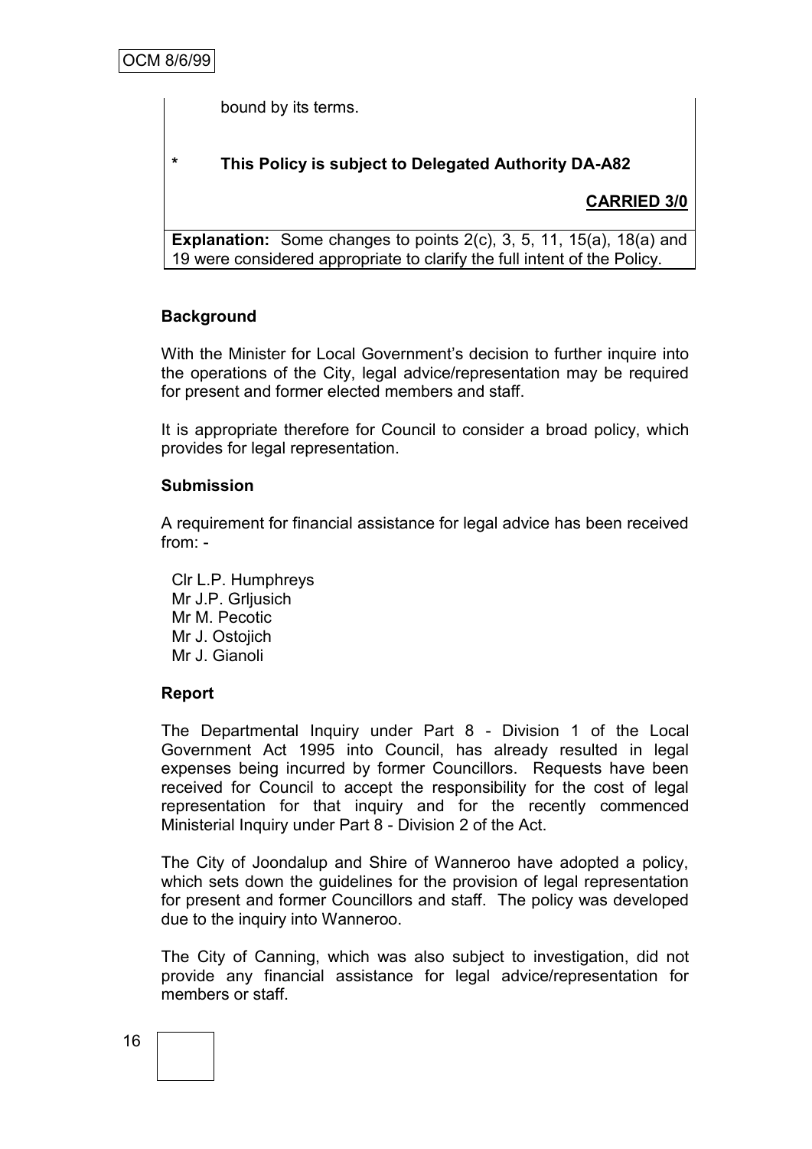bound by its terms.

# **\* This Policy is subject to Delegated Authority DA-A82**

# **CARRIED 3/0**

**Explanation:** Some changes to points 2(c), 3, 5, 11, 15(a), 18(a) and 19 were considered appropriate to clarify the full intent of the Policy.

# **Background**

With the Minister for Local Government's decision to further inquire into the operations of the City, legal advice/representation may be required for present and former elected members and staff.

It is appropriate therefore for Council to consider a broad policy, which provides for legal representation.

## **Submission**

A requirement for financial assistance for legal advice has been received from: -

Clr L.P. Humphreys Mr J.P. Grljusich Mr M. Pecotic Mr J. Ostojich Mr J. Gianoli

# **Report**

The Departmental Inquiry under Part 8 - Division 1 of the Local Government Act 1995 into Council, has already resulted in legal expenses being incurred by former Councillors. Requests have been received for Council to accept the responsibility for the cost of legal representation for that inquiry and for the recently commenced Ministerial Inquiry under Part 8 - Division 2 of the Act.

The City of Joondalup and Shire of Wanneroo have adopted a policy, which sets down the guidelines for the provision of legal representation for present and former Councillors and staff. The policy was developed due to the inquiry into Wanneroo.

The City of Canning, which was also subject to investigation, did not provide any financial assistance for legal advice/representation for members or staff.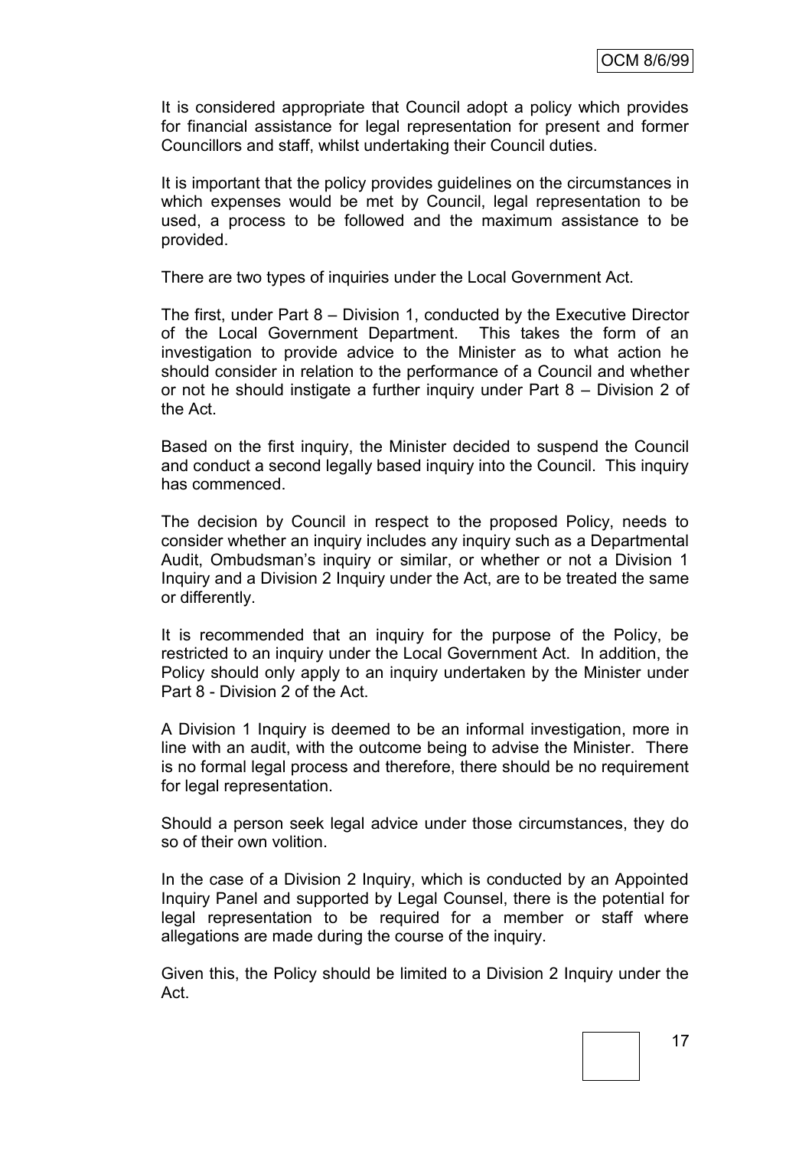It is considered appropriate that Council adopt a policy which provides for financial assistance for legal representation for present and former Councillors and staff, whilst undertaking their Council duties.

It is important that the policy provides guidelines on the circumstances in which expenses would be met by Council, legal representation to be used, a process to be followed and the maximum assistance to be provided.

There are two types of inquiries under the Local Government Act.

The first, under Part 8 – Division 1, conducted by the Executive Director of the Local Government Department. This takes the form of an investigation to provide advice to the Minister as to what action he should consider in relation to the performance of a Council and whether or not he should instigate a further inquiry under Part 8 – Division 2 of the Act.

Based on the first inquiry, the Minister decided to suspend the Council and conduct a second legally based inquiry into the Council. This inquiry has commenced.

The decision by Council in respect to the proposed Policy, needs to consider whether an inquiry includes any inquiry such as a Departmental Audit, Ombudsman's inquiry or similar, or whether or not a Division 1 Inquiry and a Division 2 Inquiry under the Act, are to be treated the same or differently.

It is recommended that an inquiry for the purpose of the Policy, be restricted to an inquiry under the Local Government Act. In addition, the Policy should only apply to an inquiry undertaken by the Minister under Part 8 - Division 2 of the Act.

A Division 1 Inquiry is deemed to be an informal investigation, more in line with an audit, with the outcome being to advise the Minister. There is no formal legal process and therefore, there should be no requirement for legal representation.

Should a person seek legal advice under those circumstances, they do so of their own volition.

In the case of a Division 2 Inquiry, which is conducted by an Appointed Inquiry Panel and supported by Legal Counsel, there is the potential for legal representation to be required for a member or staff where allegations are made during the course of the inquiry.

Given this, the Policy should be limited to a Division 2 Inquiry under the Act.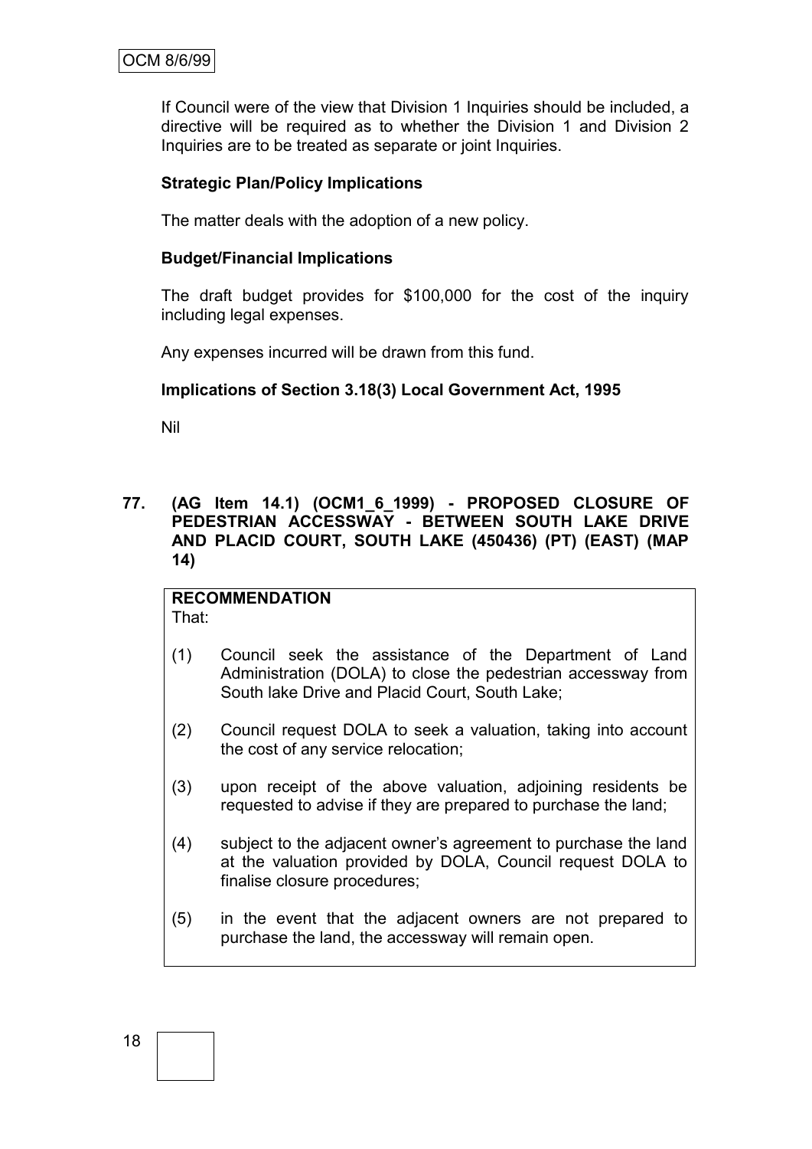If Council were of the view that Division 1 Inquiries should be included, a directive will be required as to whether the Division 1 and Division 2 Inquiries are to be treated as separate or joint Inquiries.

# **Strategic Plan/Policy Implications**

The matter deals with the adoption of a new policy.

## **Budget/Financial Implications**

The draft budget provides for \$100,000 for the cost of the inquiry including legal expenses.

Any expenses incurred will be drawn from this fund.

# **Implications of Section 3.18(3) Local Government Act, 1995**

Nil

**77. (AG Item 14.1) (OCM1\_6\_1999) - PROPOSED CLOSURE OF PEDESTRIAN ACCESSWAY - BETWEEN SOUTH LAKE DRIVE AND PLACID COURT, SOUTH LAKE (450436) (PT) (EAST) (MAP 14)**

# **RECOMMENDATION**

That:

- (1) Council seek the assistance of the Department of Land Administration (DOLA) to close the pedestrian accessway from South lake Drive and Placid Court, South Lake;
- (2) Council request DOLA to seek a valuation, taking into account the cost of any service relocation;
- (3) upon receipt of the above valuation, adjoining residents be requested to advise if they are prepared to purchase the land;
- (4) subject to the adjacent owner"s agreement to purchase the land at the valuation provided by DOLA, Council request DOLA to finalise closure procedures;
- (5) in the event that the adjacent owners are not prepared to purchase the land, the accessway will remain open.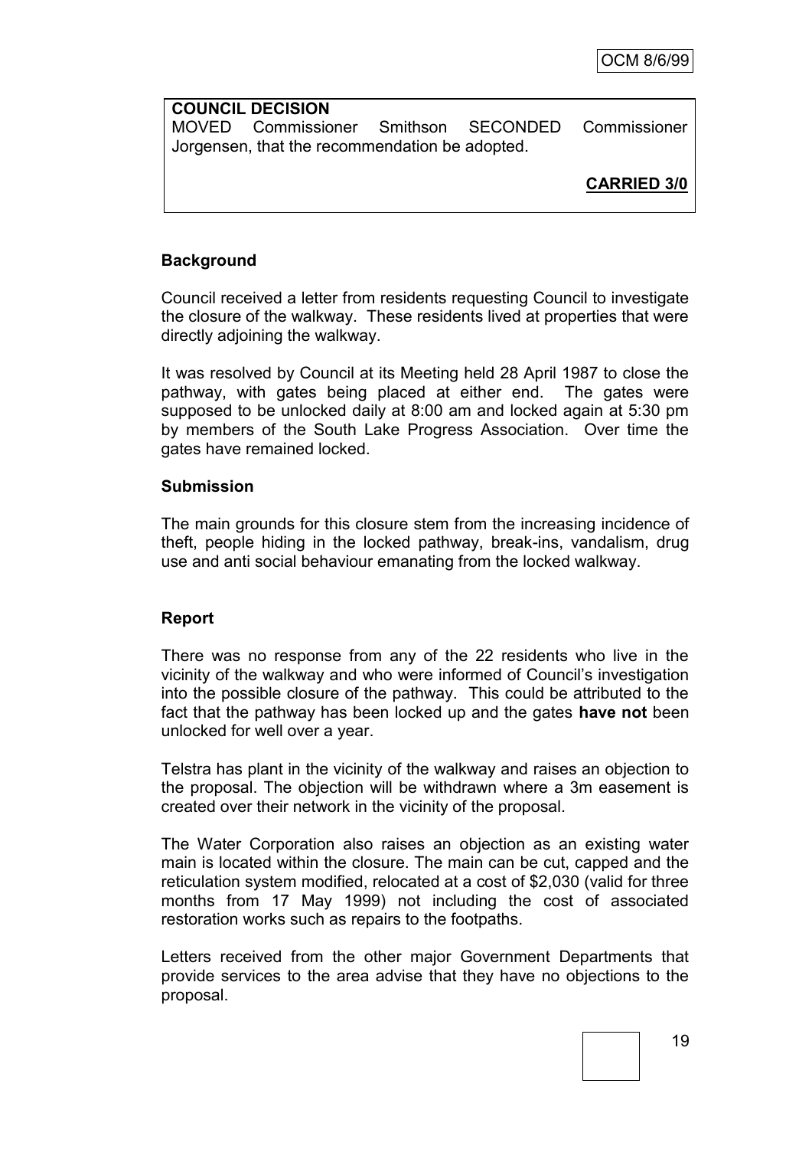## **COUNCIL DECISION** MOVED Commissioner Smithson SECONDED Commissioner Jorgensen, that the recommendation be adopted.

**CARRIED 3/0**

# **Background**

Council received a letter from residents requesting Council to investigate the closure of the walkway. These residents lived at properties that were directly adjoining the walkway.

It was resolved by Council at its Meeting held 28 April 1987 to close the pathway, with gates being placed at either end. The gates were supposed to be unlocked daily at 8:00 am and locked again at 5:30 pm by members of the South Lake Progress Association. Over time the gates have remained locked.

# **Submission**

The main grounds for this closure stem from the increasing incidence of theft, people hiding in the locked pathway, break-ins, vandalism, drug use and anti social behaviour emanating from the locked walkway.

# **Report**

There was no response from any of the 22 residents who live in the vicinity of the walkway and who were informed of Council"s investigation into the possible closure of the pathway. This could be attributed to the fact that the pathway has been locked up and the gates **have not** been unlocked for well over a year.

Telstra has plant in the vicinity of the walkway and raises an objection to the proposal. The objection will be withdrawn where a 3m easement is created over their network in the vicinity of the proposal.

The Water Corporation also raises an objection as an existing water main is located within the closure. The main can be cut, capped and the reticulation system modified, relocated at a cost of \$2,030 (valid for three months from 17 May 1999) not including the cost of associated restoration works such as repairs to the footpaths.

Letters received from the other major Government Departments that provide services to the area advise that they have no objections to the proposal.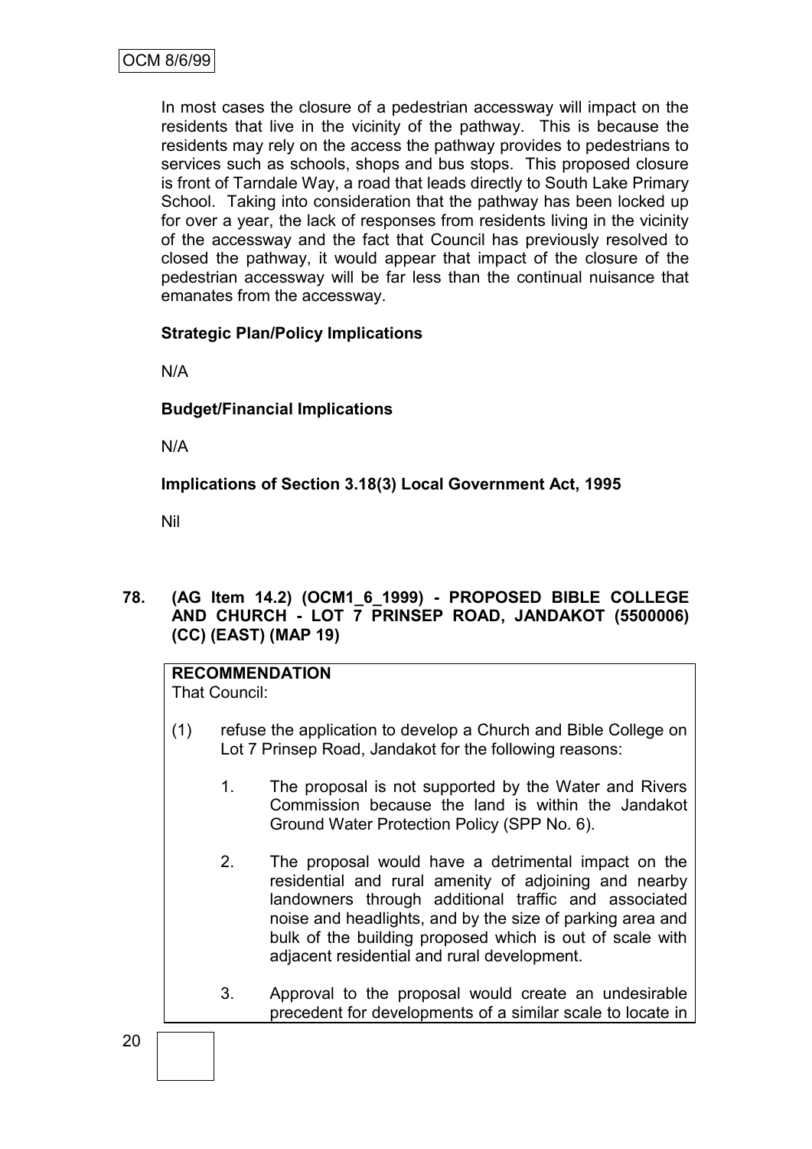In most cases the closure of a pedestrian accessway will impact on the residents that live in the vicinity of the pathway. This is because the residents may rely on the access the pathway provides to pedestrians to services such as schools, shops and bus stops. This proposed closure is front of Tarndale Way, a road that leads directly to South Lake Primary School. Taking into consideration that the pathway has been locked up for over a year, the lack of responses from residents living in the vicinity of the accessway and the fact that Council has previously resolved to closed the pathway, it would appear that impact of the closure of the pedestrian accessway will be far less than the continual nuisance that emanates from the accessway.

# **Strategic Plan/Policy Implications**

N/A

# **Budget/Financial Implications**

N/A

**Implications of Section 3.18(3) Local Government Act, 1995**

Nil

**78. (AG Item 14.2) (OCM1\_6\_1999) - PROPOSED BIBLE COLLEGE AND CHURCH - LOT 7 PRINSEP ROAD, JANDAKOT (5500006) (CC) (EAST) (MAP 19)**

# **RECOMMENDATION**

That Council:

- (1) refuse the application to develop a Church and Bible College on Lot 7 Prinsep Road, Jandakot for the following reasons:
	- 1. The proposal is not supported by the Water and Rivers Commission because the land is within the Jandakot Ground Water Protection Policy (SPP No. 6).
	- 2. The proposal would have a detrimental impact on the residential and rural amenity of adjoining and nearby landowners through additional traffic and associated noise and headlights, and by the size of parking area and bulk of the building proposed which is out of scale with adjacent residential and rural development.
	- 3. Approval to the proposal would create an undesirable precedent for developments of a similar scale to locate in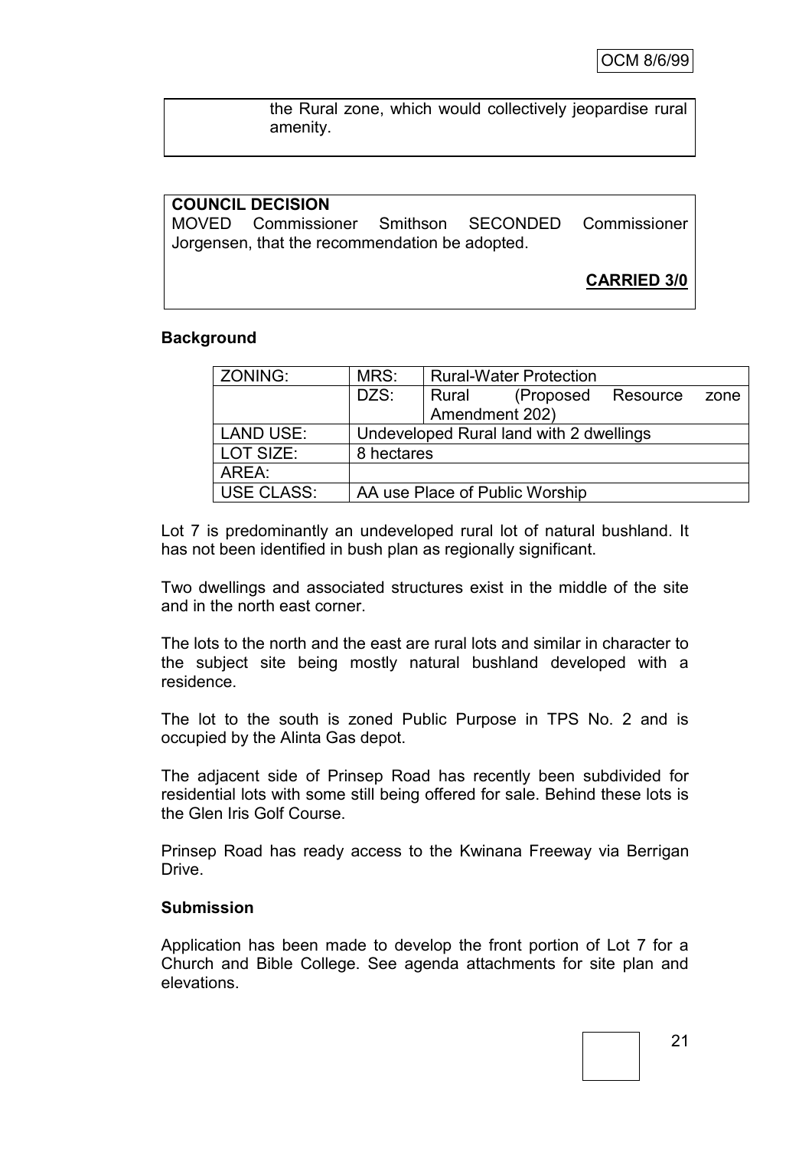the Rural zone, which would collectively jeopardise rural amenity.

# **COUNCIL DECISION** MOVED Commissioner Smithson SECONDED Commissioner Jorgensen, that the recommendation be adopted. **CARRIED 3/0**

#### **Background**

| ZONING:           | MRS:                                    | <b>Rural-Water Protection</b> |                                |          |      |
|-------------------|-----------------------------------------|-------------------------------|--------------------------------|----------|------|
|                   | DZS:                                    | Rural                         | (Proposed                      | Resource | zone |
|                   |                                         | Amendment 202)                |                                |          |      |
| <b>LAND USE:</b>  | Undeveloped Rural land with 2 dwellings |                               |                                |          |      |
| LOT SIZE:         | 8 hectares                              |                               |                                |          |      |
| AREA:             |                                         |                               |                                |          |      |
| <b>USE CLASS:</b> |                                         |                               | AA use Place of Public Worship |          |      |

Lot 7 is predominantly an undeveloped rural lot of natural bushland. It has not been identified in bush plan as regionally significant.

Two dwellings and associated structures exist in the middle of the site and in the north east corner.

The lots to the north and the east are rural lots and similar in character to the subject site being mostly natural bushland developed with a residence.

The lot to the south is zoned Public Purpose in TPS No. 2 and is occupied by the Alinta Gas depot.

The adjacent side of Prinsep Road has recently been subdivided for residential lots with some still being offered for sale. Behind these lots is the Glen Iris Golf Course.

Prinsep Road has ready access to the Kwinana Freeway via Berrigan Drive.

#### **Submission**

Application has been made to develop the front portion of Lot 7 for a Church and Bible College. See agenda attachments for site plan and elevations.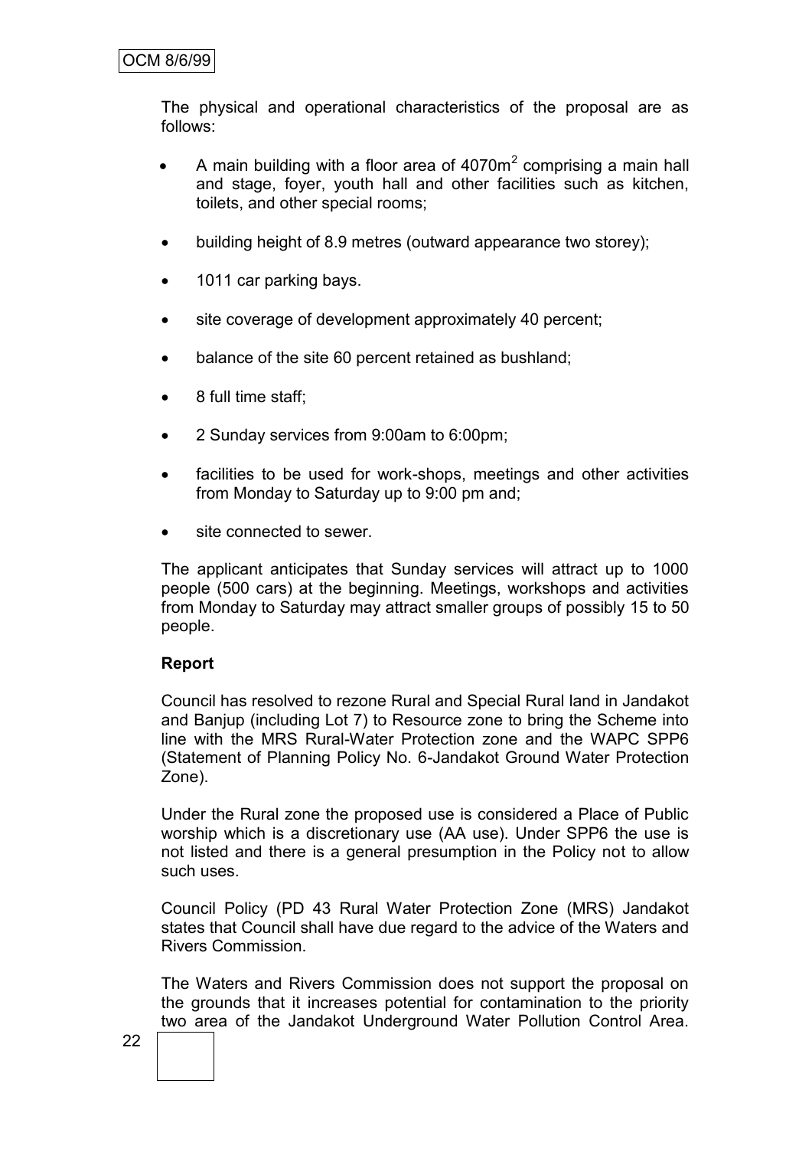# OCM 8/6/99

The physical and operational characteristics of the proposal are as follows:

- A main building with a floor area of  $4070m^2$  comprising a main hall and stage, foyer, youth hall and other facilities such as kitchen, toilets, and other special rooms;
- building height of 8.9 metres (outward appearance two storey);
- 1011 car parking bays.
- site coverage of development approximately 40 percent;
- balance of the site 60 percent retained as bushland;
- 8 full time staff;
- 2 Sunday services from 9:00am to 6:00pm;
- facilities to be used for work-shops, meetings and other activities from Monday to Saturday up to 9:00 pm and;
- site connected to sewer.

The applicant anticipates that Sunday services will attract up to 1000 people (500 cars) at the beginning. Meetings, workshops and activities from Monday to Saturday may attract smaller groups of possibly 15 to 50 people.

#### **Report**

Council has resolved to rezone Rural and Special Rural land in Jandakot and Banjup (including Lot 7) to Resource zone to bring the Scheme into line with the MRS Rural-Water Protection zone and the WAPC SPP6 (Statement of Planning Policy No. 6-Jandakot Ground Water Protection Zone).

Under the Rural zone the proposed use is considered a Place of Public worship which is a discretionary use (AA use). Under SPP6 the use is not listed and there is a general presumption in the Policy not to allow such uses.

Council Policy (PD 43 Rural Water Protection Zone (MRS) Jandakot states that Council shall have due regard to the advice of the Waters and Rivers Commission.

The Waters and Rivers Commission does not support the proposal on the grounds that it increases potential for contamination to the priority two area of the Jandakot Underground Water Pollution Control Area.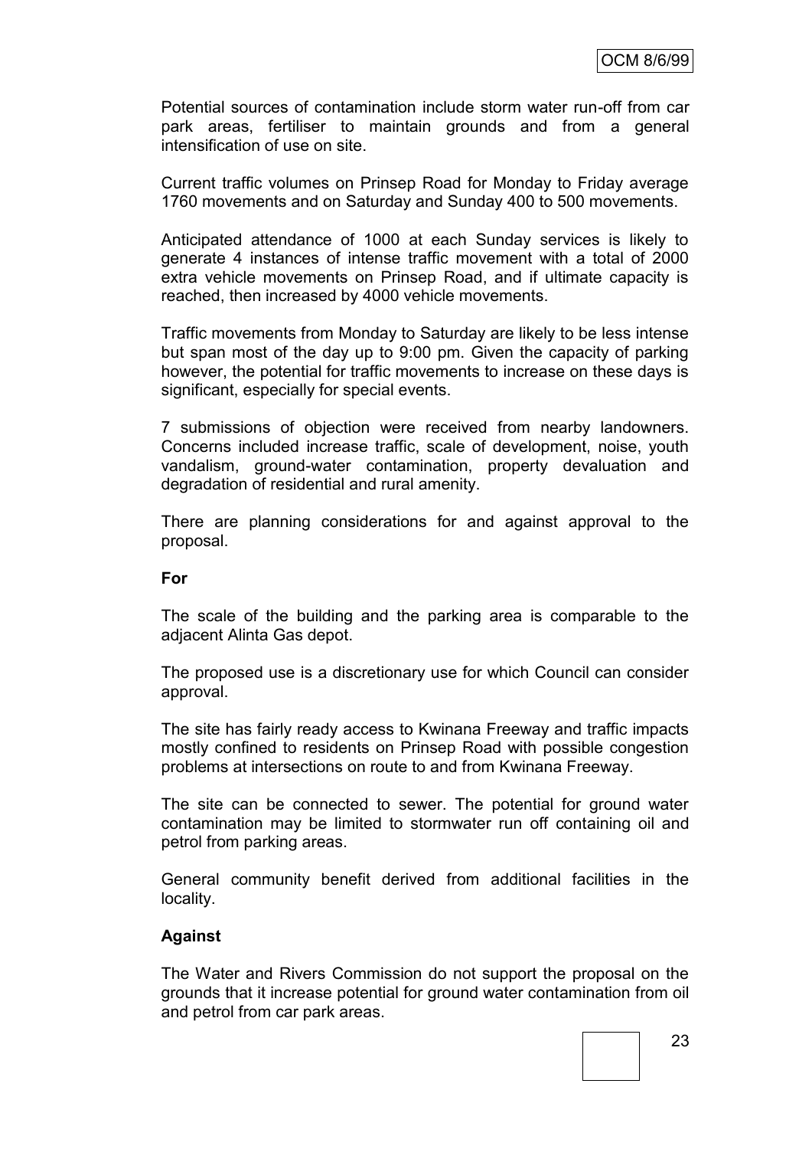Potential sources of contamination include storm water run-off from car park areas, fertiliser to maintain grounds and from a general intensification of use on site.

Current traffic volumes on Prinsep Road for Monday to Friday average 1760 movements and on Saturday and Sunday 400 to 500 movements.

Anticipated attendance of 1000 at each Sunday services is likely to generate 4 instances of intense traffic movement with a total of 2000 extra vehicle movements on Prinsep Road, and if ultimate capacity is reached, then increased by 4000 vehicle movements.

Traffic movements from Monday to Saturday are likely to be less intense but span most of the day up to 9:00 pm. Given the capacity of parking however, the potential for traffic movements to increase on these days is significant, especially for special events.

7 submissions of objection were received from nearby landowners. Concerns included increase traffic, scale of development, noise, youth vandalism, ground-water contamination, property devaluation and degradation of residential and rural amenity.

There are planning considerations for and against approval to the proposal.

#### **For**

The scale of the building and the parking area is comparable to the adjacent Alinta Gas depot.

The proposed use is a discretionary use for which Council can consider approval.

The site has fairly ready access to Kwinana Freeway and traffic impacts mostly confined to residents on Prinsep Road with possible congestion problems at intersections on route to and from Kwinana Freeway.

The site can be connected to sewer. The potential for ground water contamination may be limited to stormwater run off containing oil and petrol from parking areas.

General community benefit derived from additional facilities in the locality.

## **Against**

The Water and Rivers Commission do not support the proposal on the grounds that it increase potential for ground water contamination from oil and petrol from car park areas.

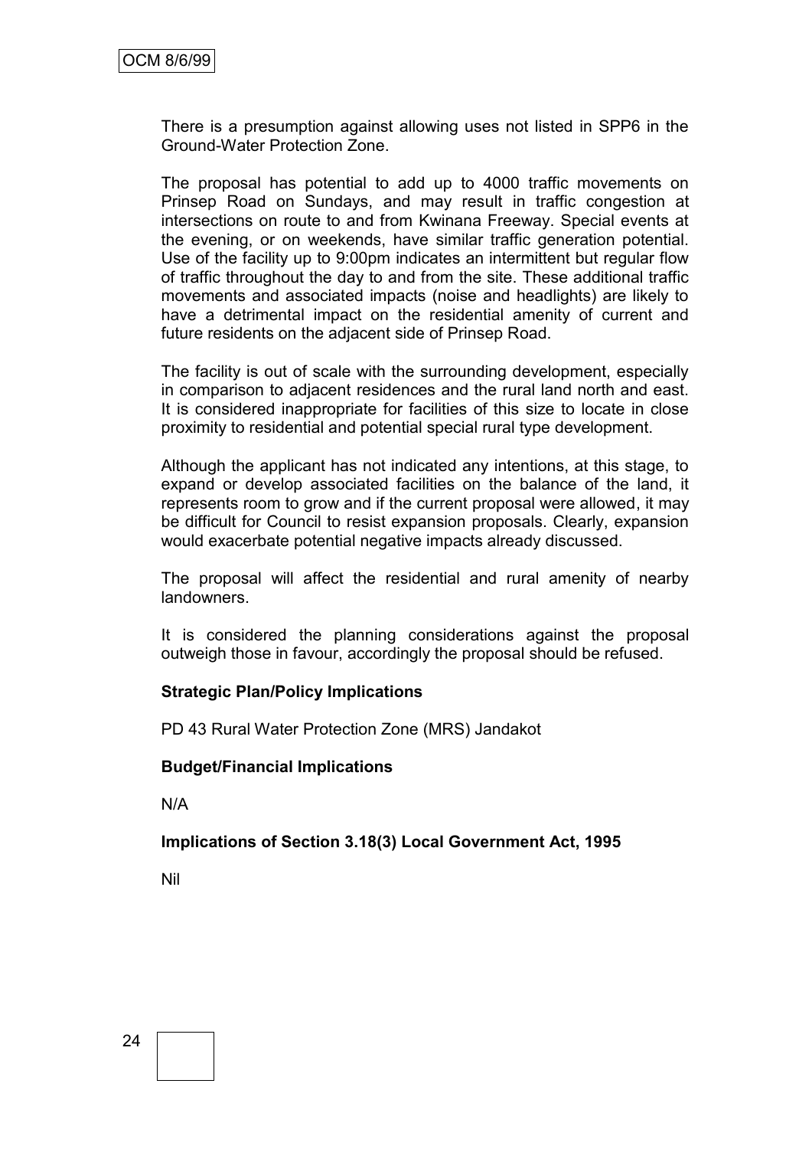There is a presumption against allowing uses not listed in SPP6 in the Ground-Water Protection Zone.

The proposal has potential to add up to 4000 traffic movements on Prinsep Road on Sundays, and may result in traffic congestion at intersections on route to and from Kwinana Freeway. Special events at the evening, or on weekends, have similar traffic generation potential. Use of the facility up to 9:00pm indicates an intermittent but regular flow of traffic throughout the day to and from the site. These additional traffic movements and associated impacts (noise and headlights) are likely to have a detrimental impact on the residential amenity of current and future residents on the adjacent side of Prinsep Road.

The facility is out of scale with the surrounding development, especially in comparison to adjacent residences and the rural land north and east. It is considered inappropriate for facilities of this size to locate in close proximity to residential and potential special rural type development.

Although the applicant has not indicated any intentions, at this stage, to expand or develop associated facilities on the balance of the land, it represents room to grow and if the current proposal were allowed, it may be difficult for Council to resist expansion proposals. Clearly, expansion would exacerbate potential negative impacts already discussed.

The proposal will affect the residential and rural amenity of nearby landowners.

It is considered the planning considerations against the proposal outweigh those in favour, accordingly the proposal should be refused.

## **Strategic Plan/Policy Implications**

PD 43 Rural Water Protection Zone (MRS) Jandakot

## **Budget/Financial Implications**

N/A

**Implications of Section 3.18(3) Local Government Act, 1995**

Nil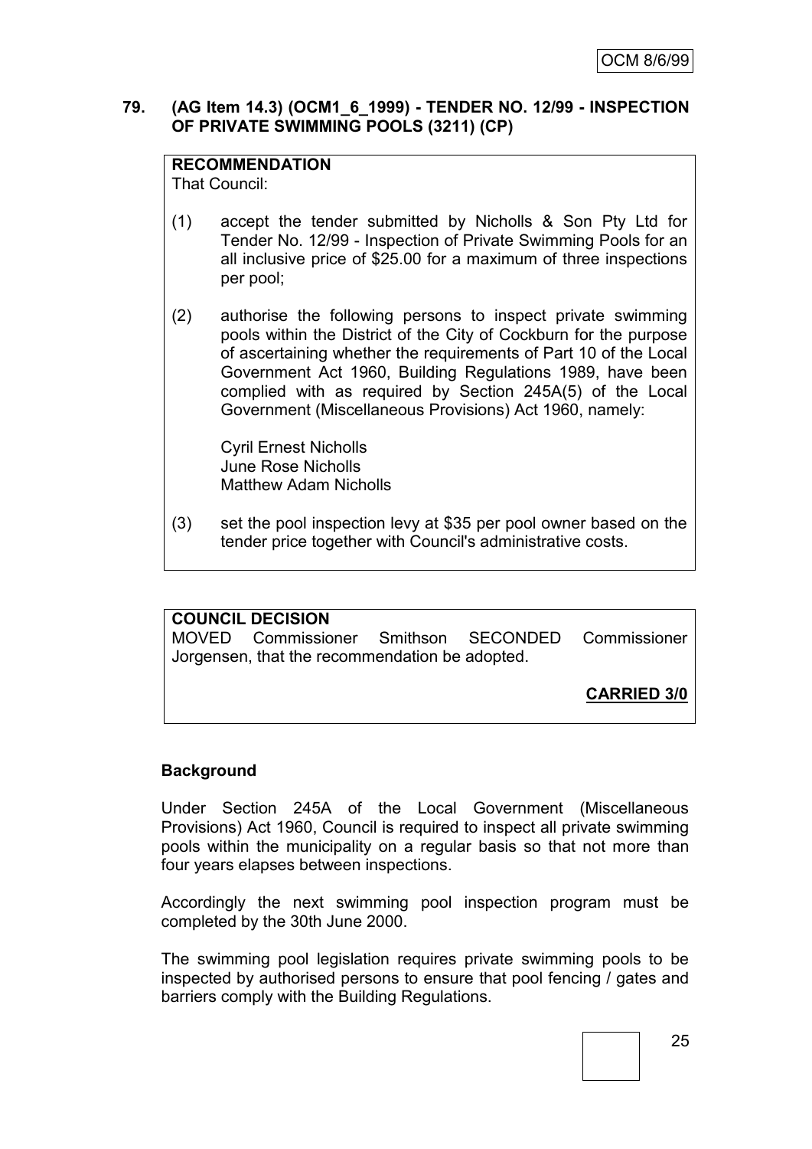## **79. (AG Item 14.3) (OCM1\_6\_1999) - TENDER NO. 12/99 - INSPECTION OF PRIVATE SWIMMING POOLS (3211) (CP)**

# **RECOMMENDATION**

That Council:

- (1) accept the tender submitted by Nicholls & Son Pty Ltd for Tender No. 12/99 - Inspection of Private Swimming Pools for an all inclusive price of \$25.00 for a maximum of three inspections per pool;
- (2) authorise the following persons to inspect private swimming pools within the District of the City of Cockburn for the purpose of ascertaining whether the requirements of Part 10 of the Local Government Act 1960, Building Regulations 1989, have been complied with as required by Section 245A(5) of the Local Government (Miscellaneous Provisions) Act 1960, namely:

Cyril Ernest Nicholls June Rose Nicholls Matthew Adam Nicholls

(3) set the pool inspection levy at \$35 per pool owner based on the tender price together with Council's administrative costs.

# **COUNCIL DECISION**

MOVED Commissioner Smithson SECONDED Commissioner Jorgensen, that the recommendation be adopted.

**CARRIED 3/0**

## **Background**

Under Section 245A of the Local Government (Miscellaneous Provisions) Act 1960, Council is required to inspect all private swimming pools within the municipality on a regular basis so that not more than four years elapses between inspections.

Accordingly the next swimming pool inspection program must be completed by the 30th June 2000.

The swimming pool legislation requires private swimming pools to be inspected by authorised persons to ensure that pool fencing / gates and barriers comply with the Building Regulations.

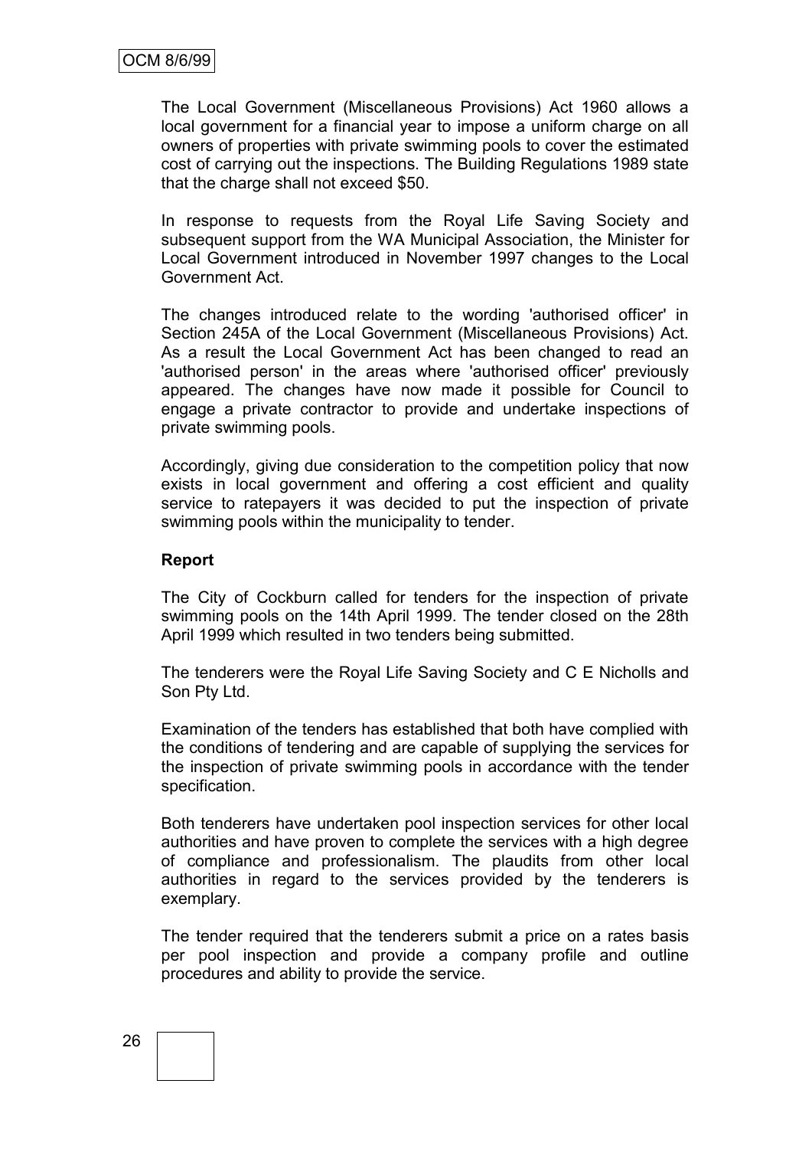The Local Government (Miscellaneous Provisions) Act 1960 allows a local government for a financial year to impose a uniform charge on all owners of properties with private swimming pools to cover the estimated cost of carrying out the inspections. The Building Regulations 1989 state that the charge shall not exceed \$50.

In response to requests from the Royal Life Saving Society and subsequent support from the WA Municipal Association, the Minister for Local Government introduced in November 1997 changes to the Local Government Act.

The changes introduced relate to the wording 'authorised officer' in Section 245A of the Local Government (Miscellaneous Provisions) Act. As a result the Local Government Act has been changed to read an 'authorised person' in the areas where 'authorised officer' previously appeared. The changes have now made it possible for Council to engage a private contractor to provide and undertake inspections of private swimming pools.

Accordingly, giving due consideration to the competition policy that now exists in local government and offering a cost efficient and quality service to ratepayers it was decided to put the inspection of private swimming pools within the municipality to tender.

## **Report**

The City of Cockburn called for tenders for the inspection of private swimming pools on the 14th April 1999. The tender closed on the 28th April 1999 which resulted in two tenders being submitted.

The tenderers were the Royal Life Saving Society and C E Nicholls and Son Pty Ltd.

Examination of the tenders has established that both have complied with the conditions of tendering and are capable of supplying the services for the inspection of private swimming pools in accordance with the tender specification.

Both tenderers have undertaken pool inspection services for other local authorities and have proven to complete the services with a high degree of compliance and professionalism. The plaudits from other local authorities in regard to the services provided by the tenderers is exemplary.

The tender required that the tenderers submit a price on a rates basis per pool inspection and provide a company profile and outline procedures and ability to provide the service.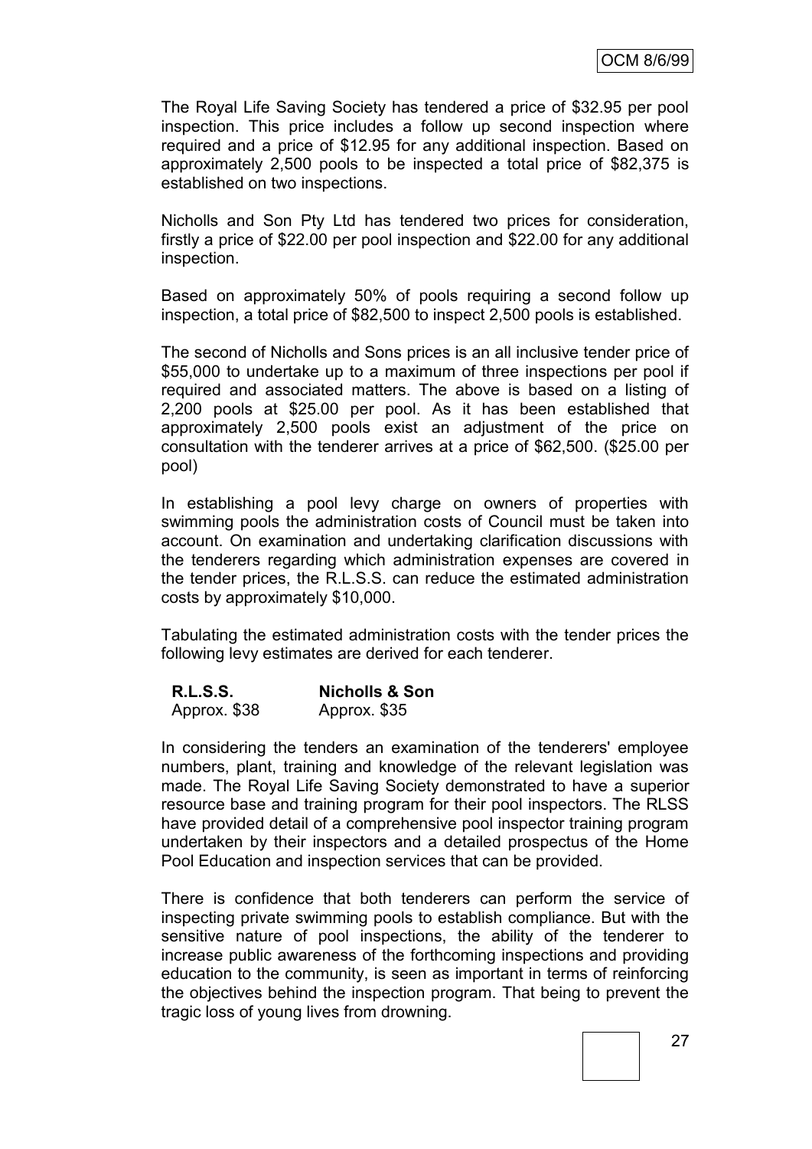The Royal Life Saving Society has tendered a price of \$32.95 per pool inspection. This price includes a follow up second inspection where required and a price of \$12.95 for any additional inspection. Based on approximately 2,500 pools to be inspected a total price of \$82,375 is established on two inspections.

Nicholls and Son Pty Ltd has tendered two prices for consideration, firstly a price of \$22.00 per pool inspection and \$22.00 for any additional inspection.

Based on approximately 50% of pools requiring a second follow up inspection, a total price of \$82,500 to inspect 2,500 pools is established.

The second of Nicholls and Sons prices is an all inclusive tender price of \$55,000 to undertake up to a maximum of three inspections per pool if required and associated matters. The above is based on a listing of 2,200 pools at \$25.00 per pool. As it has been established that approximately 2,500 pools exist an adjustment of the price on consultation with the tenderer arrives at a price of \$62,500. (\$25.00 per pool)

In establishing a pool levy charge on owners of properties with swimming pools the administration costs of Council must be taken into account. On examination and undertaking clarification discussions with the tenderers regarding which administration expenses are covered in the tender prices, the R.L.S.S. can reduce the estimated administration costs by approximately \$10,000.

Tabulating the estimated administration costs with the tender prices the following levy estimates are derived for each tenderer.

| <b>R.L.S.S.</b> | <b>Nicholls &amp; Son</b> |  |  |
|-----------------|---------------------------|--|--|
| Approx. \$38    | Approx. \$35              |  |  |

In considering the tenders an examination of the tenderers' employee numbers, plant, training and knowledge of the relevant legislation was made. The Royal Life Saving Society demonstrated to have a superior resource base and training program for their pool inspectors. The RLSS have provided detail of a comprehensive pool inspector training program undertaken by their inspectors and a detailed prospectus of the Home Pool Education and inspection services that can be provided.

There is confidence that both tenderers can perform the service of inspecting private swimming pools to establish compliance. But with the sensitive nature of pool inspections, the ability of the tenderer to increase public awareness of the forthcoming inspections and providing education to the community, is seen as important in terms of reinforcing the objectives behind the inspection program. That being to prevent the tragic loss of young lives from drowning.

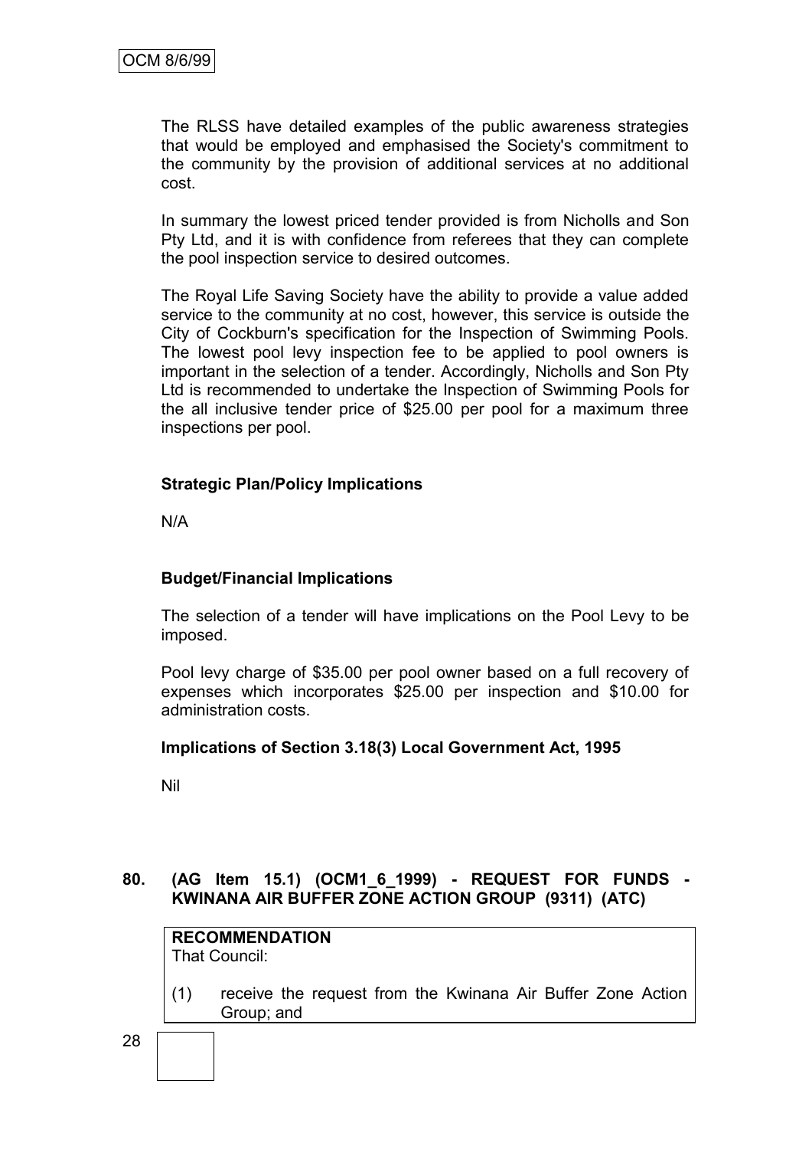The RLSS have detailed examples of the public awareness strategies that would be employed and emphasised the Society's commitment to the community by the provision of additional services at no additional cost.

In summary the lowest priced tender provided is from Nicholls and Son Pty Ltd, and it is with confidence from referees that they can complete the pool inspection service to desired outcomes.

The Royal Life Saving Society have the ability to provide a value added service to the community at no cost, however, this service is outside the City of Cockburn's specification for the Inspection of Swimming Pools. The lowest pool levy inspection fee to be applied to pool owners is important in the selection of a tender. Accordingly, Nicholls and Son Pty Ltd is recommended to undertake the Inspection of Swimming Pools for the all inclusive tender price of \$25.00 per pool for a maximum three inspections per pool.

# **Strategic Plan/Policy Implications**

N/A

# **Budget/Financial Implications**

The selection of a tender will have implications on the Pool Levy to be imposed.

Pool levy charge of \$35.00 per pool owner based on a full recovery of expenses which incorporates \$25.00 per inspection and \$10.00 for administration costs.

## **Implications of Section 3.18(3) Local Government Act, 1995**

Nil

# **80. (AG Item 15.1) (OCM1\_6\_1999) - REQUEST FOR FUNDS - KWINANA AIR BUFFER ZONE ACTION GROUP (9311) (ATC)**

**RECOMMENDATION** That Council:

(1) receive the request from the Kwinana Air Buffer Zone Action Group; and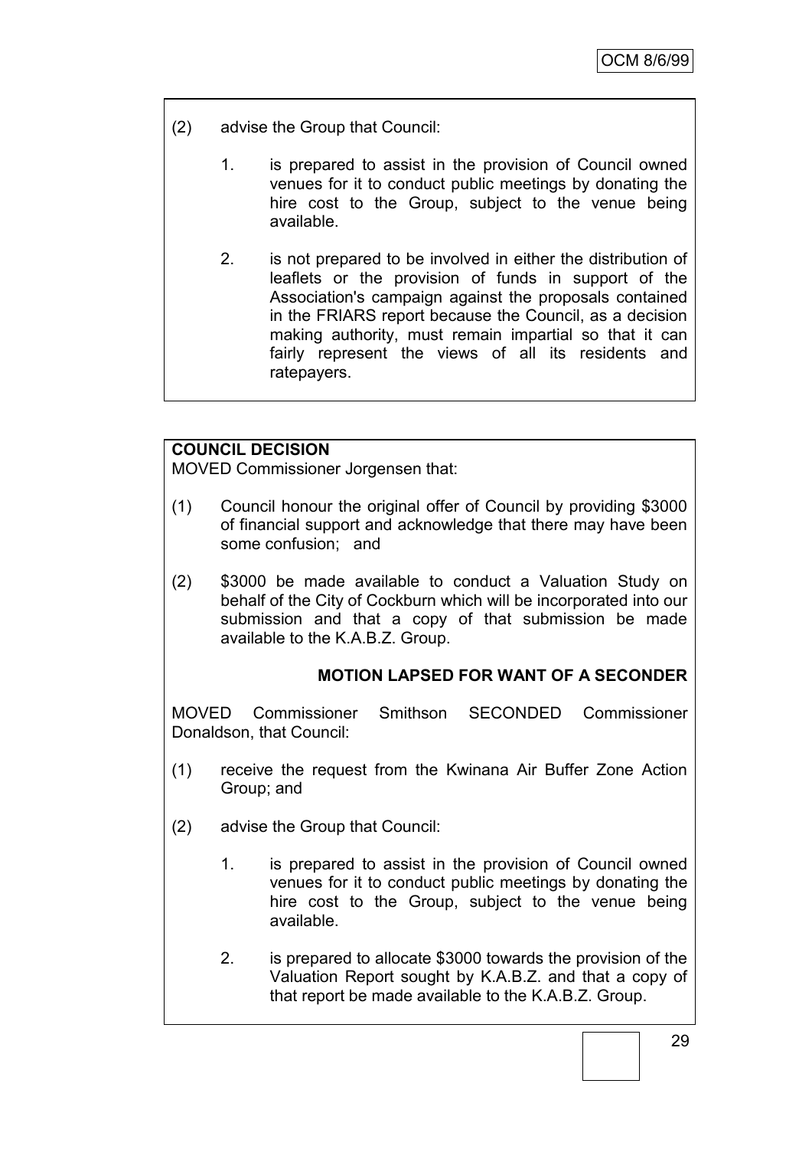- (2) advise the Group that Council:
	- 1. is prepared to assist in the provision of Council owned venues for it to conduct public meetings by donating the hire cost to the Group, subject to the venue being available.
	- 2. is not prepared to be involved in either the distribution of leaflets or the provision of funds in support of the Association's campaign against the proposals contained in the FRIARS report because the Council, as a decision making authority, must remain impartial so that it can fairly represent the views of all its residents and ratepayers.

# **COUNCIL DECISION**

MOVED Commissioner Jorgensen that:

- (1) Council honour the original offer of Council by providing \$3000 of financial support and acknowledge that there may have been some confusion; and
- (2) \$3000 be made available to conduct a Valuation Study on behalf of the City of Cockburn which will be incorporated into our submission and that a copy of that submission be made available to the K.A.B.Z. Group.

# **MOTION LAPSED FOR WANT OF A SECONDER**

MOVED Commissioner Smithson SECONDED Commissioner Donaldson, that Council:

- (1) receive the request from the Kwinana Air Buffer Zone Action Group; and
- (2) advise the Group that Council:
	- 1. is prepared to assist in the provision of Council owned venues for it to conduct public meetings by donating the hire cost to the Group, subject to the venue being available.
	- 2. is prepared to allocate \$3000 towards the provision of the Valuation Report sought by K.A.B.Z. and that a copy of that report be made available to the K.A.B.Z. Group.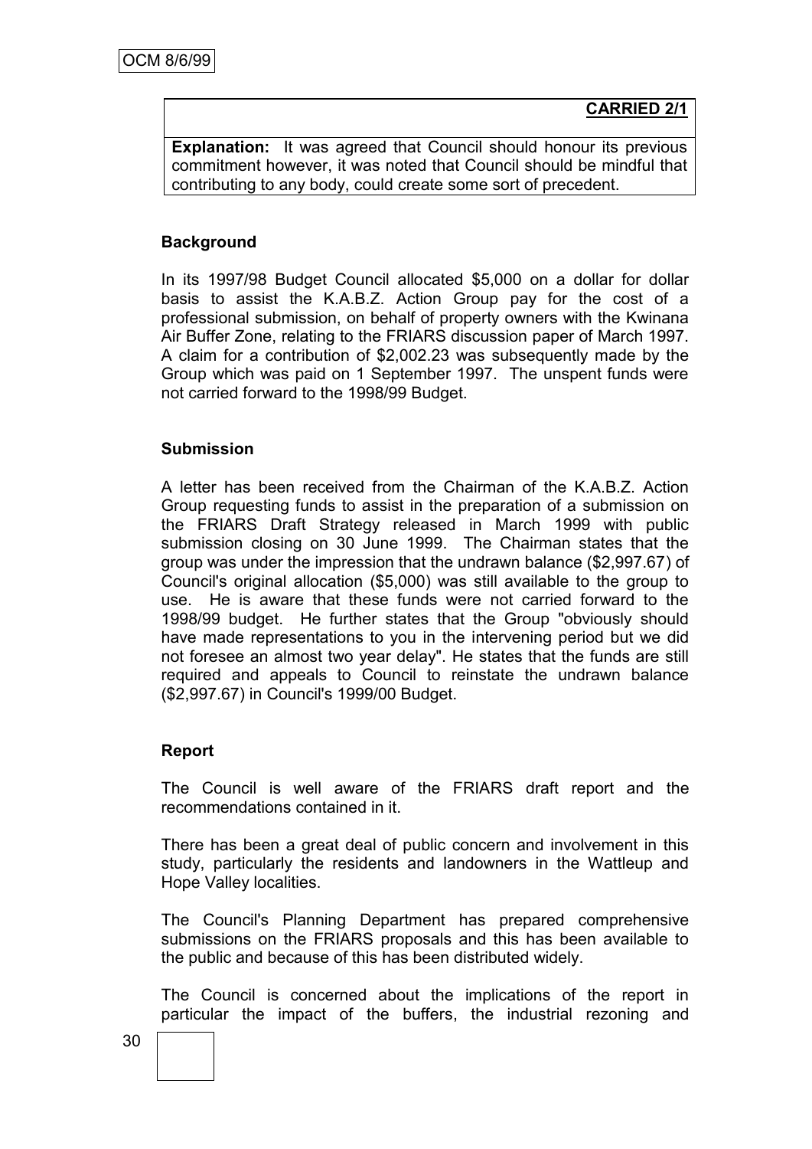**CARRIED 2/1**

**Explanation:** It was agreed that Council should honour its previous commitment however, it was noted that Council should be mindful that contributing to any body, could create some sort of precedent.

# **Background**

In its 1997/98 Budget Council allocated \$5,000 on a dollar for dollar basis to assist the K.A.B.Z. Action Group pay for the cost of a professional submission, on behalf of property owners with the Kwinana Air Buffer Zone, relating to the FRIARS discussion paper of March 1997. A claim for a contribution of \$2,002.23 was subsequently made by the Group which was paid on 1 September 1997. The unspent funds were not carried forward to the 1998/99 Budget.

## **Submission**

A letter has been received from the Chairman of the K.A.B.Z. Action Group requesting funds to assist in the preparation of a submission on the FRIARS Draft Strategy released in March 1999 with public submission closing on 30 June 1999. The Chairman states that the group was under the impression that the undrawn balance (\$2,997.67) of Council's original allocation (\$5,000) was still available to the group to use. He is aware that these funds were not carried forward to the 1998/99 budget. He further states that the Group "obviously should have made representations to you in the intervening period but we did not foresee an almost two year delay". He states that the funds are still required and appeals to Council to reinstate the undrawn balance (\$2,997.67) in Council's 1999/00 Budget.

## **Report**

The Council is well aware of the FRIARS draft report and the recommendations contained in it.

There has been a great deal of public concern and involvement in this study, particularly the residents and landowners in the Wattleup and Hope Valley localities.

The Council's Planning Department has prepared comprehensive submissions on the FRIARS proposals and this has been available to the public and because of this has been distributed widely.

The Council is concerned about the implications of the report in particular the impact of the buffers, the industrial rezoning and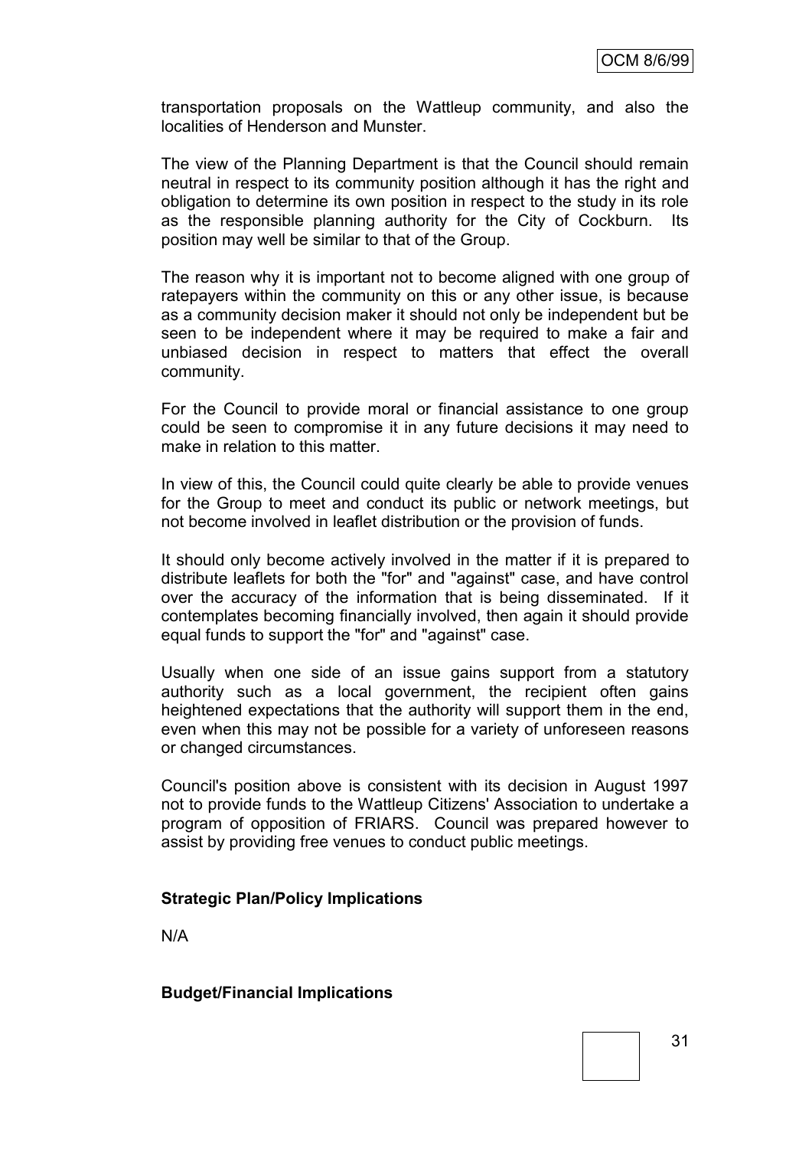transportation proposals on the Wattleup community, and also the localities of Henderson and Munster.

The view of the Planning Department is that the Council should remain neutral in respect to its community position although it has the right and obligation to determine its own position in respect to the study in its role as the responsible planning authority for the City of Cockburn. Its position may well be similar to that of the Group.

The reason why it is important not to become aligned with one group of ratepayers within the community on this or any other issue, is because as a community decision maker it should not only be independent but be seen to be independent where it may be required to make a fair and unbiased decision in respect to matters that effect the overall community.

For the Council to provide moral or financial assistance to one group could be seen to compromise it in any future decisions it may need to make in relation to this matter.

In view of this, the Council could quite clearly be able to provide venues for the Group to meet and conduct its public or network meetings, but not become involved in leaflet distribution or the provision of funds.

It should only become actively involved in the matter if it is prepared to distribute leaflets for both the "for" and "against" case, and have control over the accuracy of the information that is being disseminated. If it contemplates becoming financially involved, then again it should provide equal funds to support the "for" and "against" case.

Usually when one side of an issue gains support from a statutory authority such as a local government, the recipient often gains heightened expectations that the authority will support them in the end, even when this may not be possible for a variety of unforeseen reasons or changed circumstances.

Council's position above is consistent with its decision in August 1997 not to provide funds to the Wattleup Citizens' Association to undertake a program of opposition of FRIARS. Council was prepared however to assist by providing free venues to conduct public meetings.

## **Strategic Plan/Policy Implications**

N/A

**Budget/Financial Implications**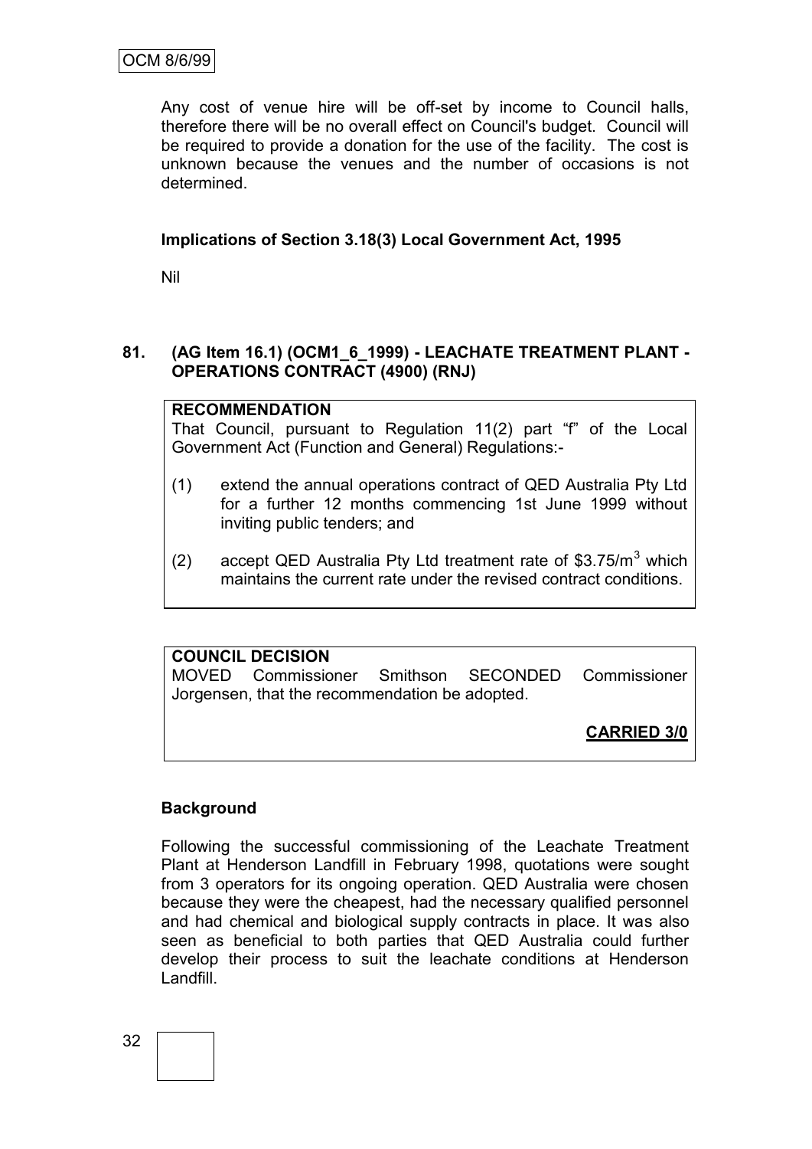Any cost of venue hire will be off-set by income to Council halls, therefore there will be no overall effect on Council's budget. Council will be required to provide a donation for the use of the facility. The cost is unknown because the venues and the number of occasions is not determined.

# **Implications of Section 3.18(3) Local Government Act, 1995**

Nil

# **81. (AG Item 16.1) (OCM1\_6\_1999) - LEACHATE TREATMENT PLANT - OPERATIONS CONTRACT (4900) (RNJ)**

# **RECOMMENDATION**

That Council, pursuant to Regulation 11(2) part "f" of the Local Government Act (Function and General) Regulations:-

- (1) extend the annual operations contract of QED Australia Pty Ltd for a further 12 months commencing 1st June 1999 without inviting public tenders; and
- (2) accept QED Australia Pty Ltd treatment rate of \$3.75/ $m<sup>3</sup>$  which maintains the current rate under the revised contract conditions.

# **COUNCIL DECISION**

MOVED Commissioner Smithson SECONDED Commissioner Jorgensen, that the recommendation be adopted.

**CARRIED 3/0**

# **Background**

Following the successful commissioning of the Leachate Treatment Plant at Henderson Landfill in February 1998, quotations were sought from 3 operators for its ongoing operation. QED Australia were chosen because they were the cheapest, had the necessary qualified personnel and had chemical and biological supply contracts in place. It was also seen as beneficial to both parties that QED Australia could further develop their process to suit the leachate conditions at Henderson Landfill.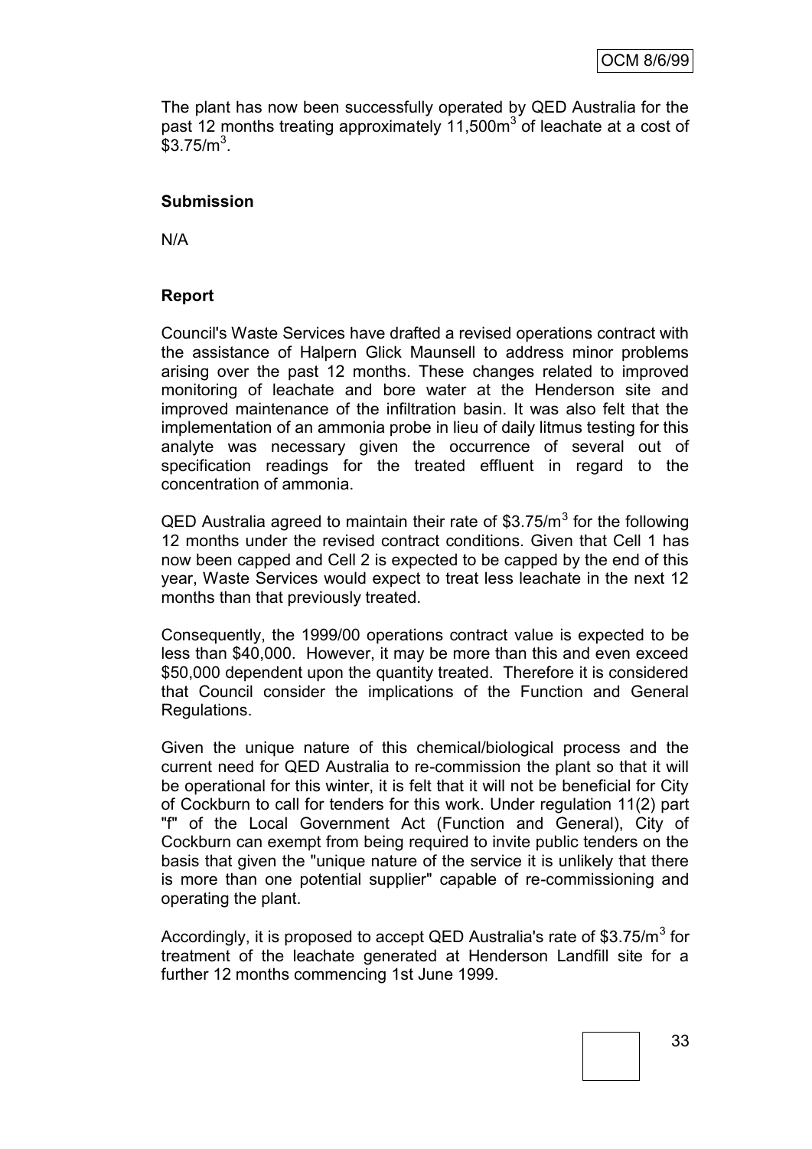The plant has now been successfully operated by QED Australia for the past 12 months treating approximately 11,500 $m<sup>3</sup>$  of leachate at a cost of  $$3.75/m<sup>3</sup>$ .

## **Submission**

N/A

#### **Report**

Council's Waste Services have drafted a revised operations contract with the assistance of Halpern Glick Maunsell to address minor problems arising over the past 12 months. These changes related to improved monitoring of leachate and bore water at the Henderson site and improved maintenance of the infiltration basin. It was also felt that the implementation of an ammonia probe in lieu of daily litmus testing for this analyte was necessary given the occurrence of several out of specification readings for the treated effluent in regard to the concentration of ammonia.

QED Australia agreed to maintain their rate of \$3.75/ $m<sup>3</sup>$  for the following 12 months under the revised contract conditions. Given that Cell 1 has now been capped and Cell 2 is expected to be capped by the end of this year, Waste Services would expect to treat less leachate in the next 12 months than that previously treated.

Consequently, the 1999/00 operations contract value is expected to be less than \$40,000. However, it may be more than this and even exceed \$50,000 dependent upon the quantity treated. Therefore it is considered that Council consider the implications of the Function and General Regulations.

Given the unique nature of this chemical/biological process and the current need for QED Australia to re-commission the plant so that it will be operational for this winter, it is felt that it will not be beneficial for City of Cockburn to call for tenders for this work. Under regulation 11(2) part "f" of the Local Government Act (Function and General), City of Cockburn can exempt from being required to invite public tenders on the basis that given the "unique nature of the service it is unlikely that there is more than one potential supplier" capable of re-commissioning and operating the plant.

Accordingly, it is proposed to accept QED Australia's rate of \$3.75/m<sup>3</sup> for treatment of the leachate generated at Henderson Landfill site for a further 12 months commencing 1st June 1999.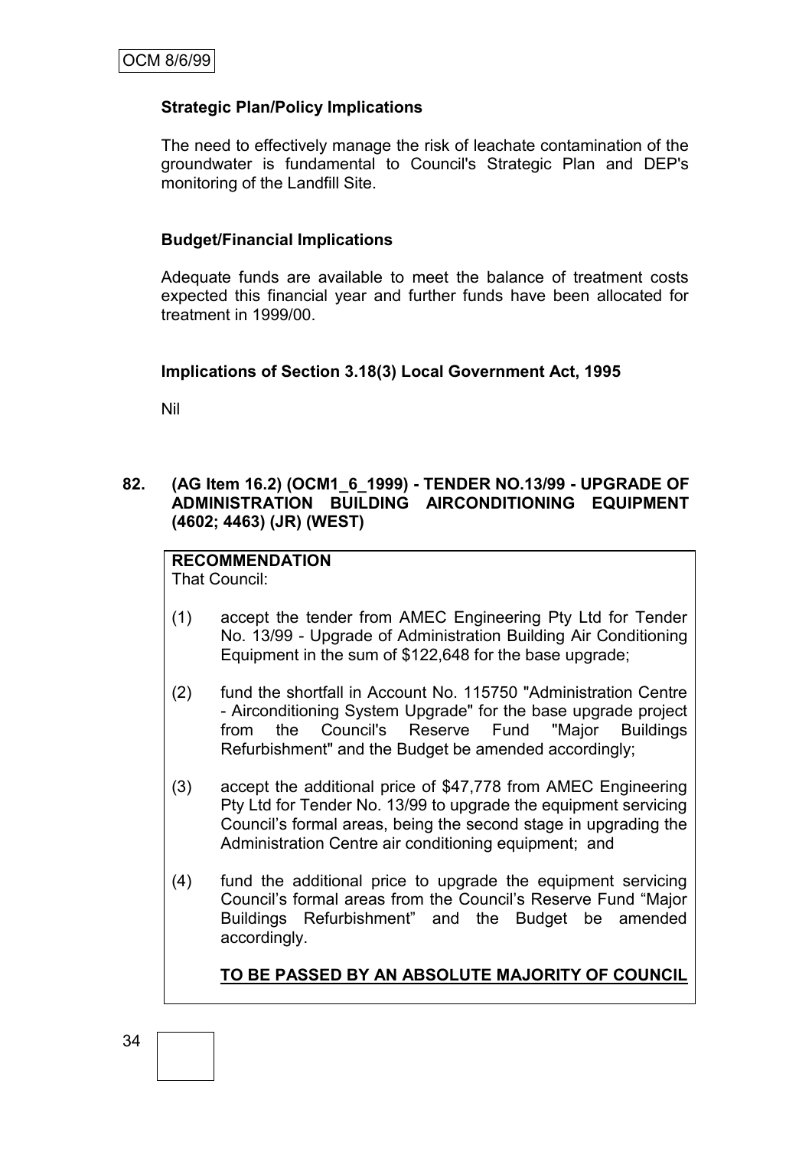# **Strategic Plan/Policy Implications**

The need to effectively manage the risk of leachate contamination of the groundwater is fundamental to Council's Strategic Plan and DEP's monitoring of the Landfill Site.

## **Budget/Financial Implications**

Adequate funds are available to meet the balance of treatment costs expected this financial year and further funds have been allocated for treatment in 1999/00.

## **Implications of Section 3.18(3) Local Government Act, 1995**

Nil

# **82. (AG Item 16.2) (OCM1\_6\_1999) - TENDER NO.13/99 - UPGRADE OF ADMINISTRATION BUILDING AIRCONDITIONING EQUIPMENT (4602; 4463) (JR) (WEST)**

#### **RECOMMENDATION** That Council:

- (1) accept the tender from AMEC Engineering Pty Ltd for Tender No. 13/99 - Upgrade of Administration Building Air Conditioning Equipment in the sum of \$122,648 for the base upgrade;
- (2) fund the shortfall in Account No. 115750 "Administration Centre - Airconditioning System Upgrade" for the base upgrade project from the Council's Reserve Fund "Major Buildings Refurbishment" and the Budget be amended accordingly;
- (3) accept the additional price of \$47,778 from AMEC Engineering Pty Ltd for Tender No. 13/99 to upgrade the equipment servicing Council"s formal areas, being the second stage in upgrading the Administration Centre air conditioning equipment; and
- (4) fund the additional price to upgrade the equipment servicing Council"s formal areas from the Council"s Reserve Fund "Major Buildings Refurbishment" and the Budget be amended accordingly.

**TO BE PASSED BY AN ABSOLUTE MAJORITY OF COUNCIL**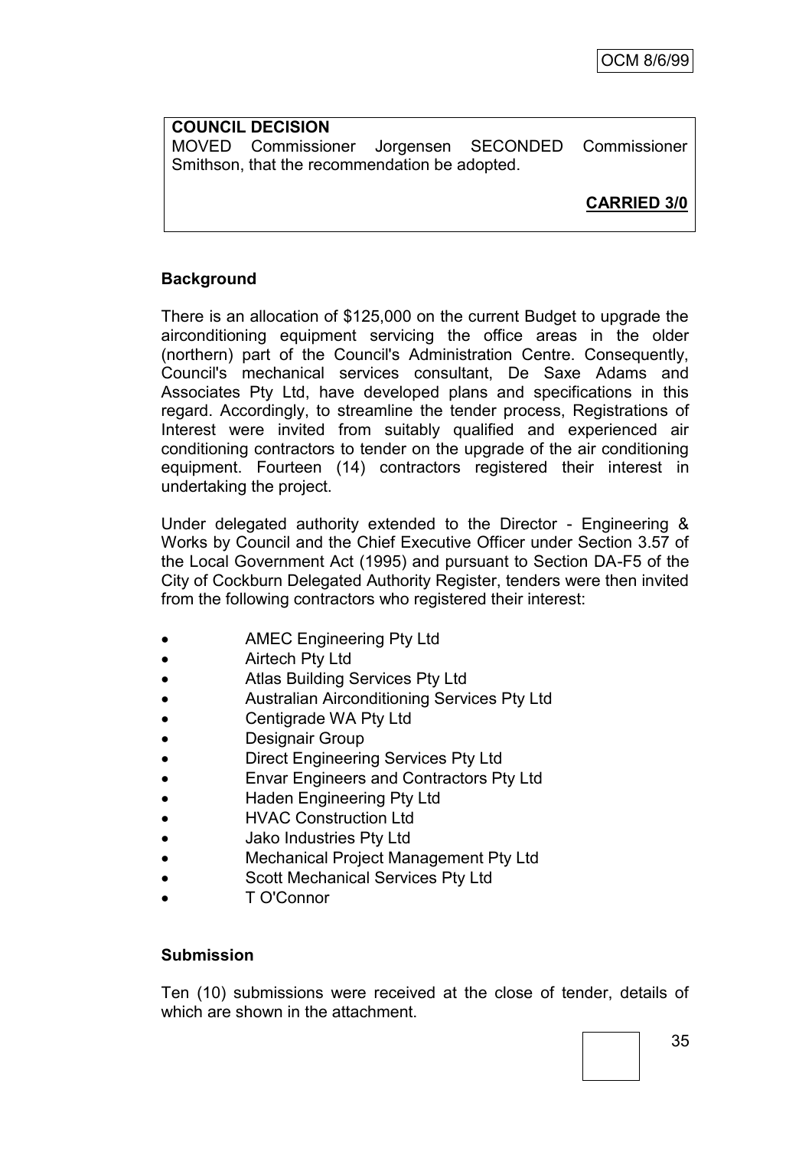# **COUNCIL DECISION** MOVED Commissioner Jorgensen SECONDED Commissioner Smithson, that the recommendation be adopted.

**CARRIED 3/0**

# **Background**

There is an allocation of \$125,000 on the current Budget to upgrade the airconditioning equipment servicing the office areas in the older (northern) part of the Council's Administration Centre. Consequently, Council's mechanical services consultant, De Saxe Adams and Associates Pty Ltd, have developed plans and specifications in this regard. Accordingly, to streamline the tender process, Registrations of Interest were invited from suitably qualified and experienced air conditioning contractors to tender on the upgrade of the air conditioning equipment. Fourteen (14) contractors registered their interest in undertaking the project.

Under delegated authority extended to the Director - Engineering & Works by Council and the Chief Executive Officer under Section 3.57 of the Local Government Act (1995) and pursuant to Section DA-F5 of the City of Cockburn Delegated Authority Register, tenders were then invited from the following contractors who registered their interest:

- AMEC Engineering Pty Ltd
- **Airtech Pty Ltd**
- Atlas Building Services Pty Ltd
- Australian Airconditioning Services Pty Ltd
- Centigrade WA Pty Ltd
- Designair Group
- Direct Engineering Services Pty Ltd
- Envar Engineers and Contractors Pty Ltd
- Haden Engineering Pty Ltd
- HVAC Construction Ltd
- Jako Industries Pty Ltd
- Mechanical Project Management Pty Ltd
- Scott Mechanical Services Pty Ltd
- T O'Connor

# **Submission**

Ten (10) submissions were received at the close of tender, details of which are shown in the attachment.

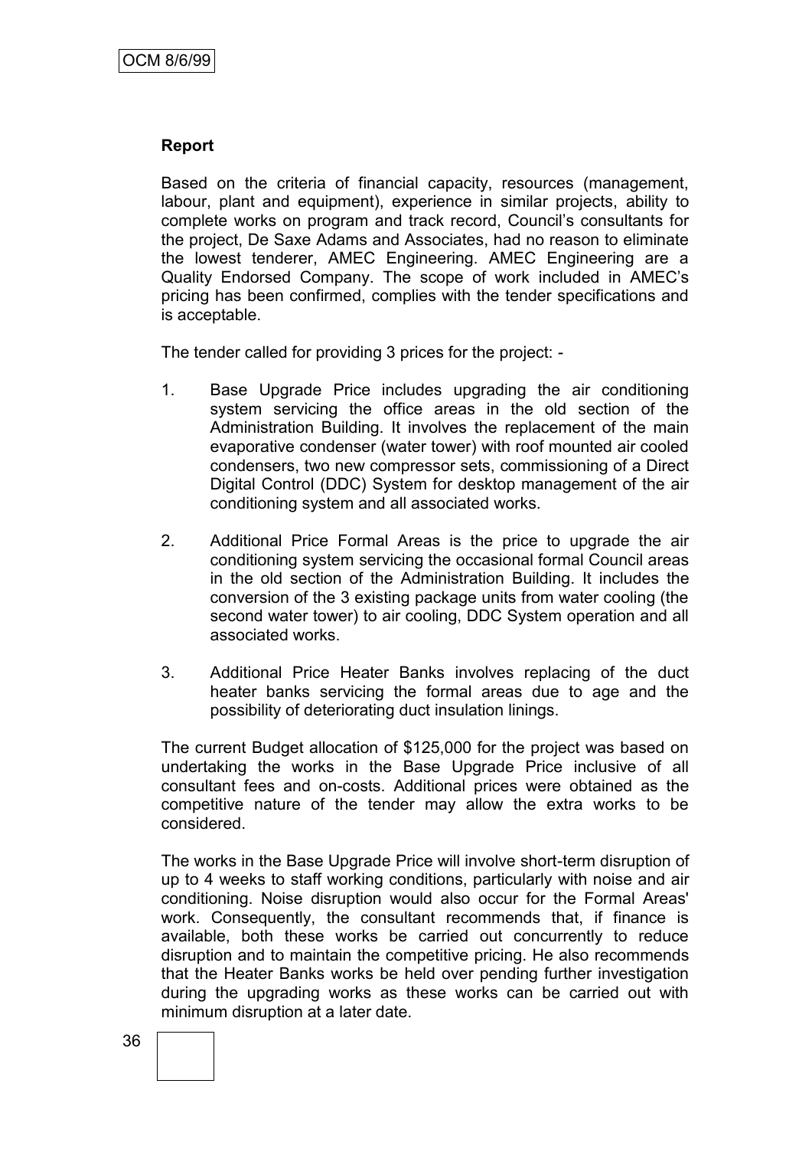## **Report**

Based on the criteria of financial capacity, resources (management, labour, plant and equipment), experience in similar projects, ability to complete works on program and track record, Council"s consultants for the project, De Saxe Adams and Associates, had no reason to eliminate the lowest tenderer, AMEC Engineering. AMEC Engineering are a Quality Endorsed Company. The scope of work included in AMEC"s pricing has been confirmed, complies with the tender specifications and is acceptable.

The tender called for providing 3 prices for the project: -

- 1. Base Upgrade Price includes upgrading the air conditioning system servicing the office areas in the old section of the Administration Building. It involves the replacement of the main evaporative condenser (water tower) with roof mounted air cooled condensers, two new compressor sets, commissioning of a Direct Digital Control (DDC) System for desktop management of the air conditioning system and all associated works.
- 2. Additional Price Formal Areas is the price to upgrade the air conditioning system servicing the occasional formal Council areas in the old section of the Administration Building. It includes the conversion of the 3 existing package units from water cooling (the second water tower) to air cooling, DDC System operation and all associated works.
- 3. Additional Price Heater Banks involves replacing of the duct heater banks servicing the formal areas due to age and the possibility of deteriorating duct insulation linings.

The current Budget allocation of \$125,000 for the project was based on undertaking the works in the Base Upgrade Price inclusive of all consultant fees and on-costs. Additional prices were obtained as the competitive nature of the tender may allow the extra works to be considered.

The works in the Base Upgrade Price will involve short-term disruption of up to 4 weeks to staff working conditions, particularly with noise and air conditioning. Noise disruption would also occur for the Formal Areas' work. Consequently, the consultant recommends that, if finance is available, both these works be carried out concurrently to reduce disruption and to maintain the competitive pricing. He also recommends that the Heater Banks works be held over pending further investigation during the upgrading works as these works can be carried out with minimum disruption at a later date.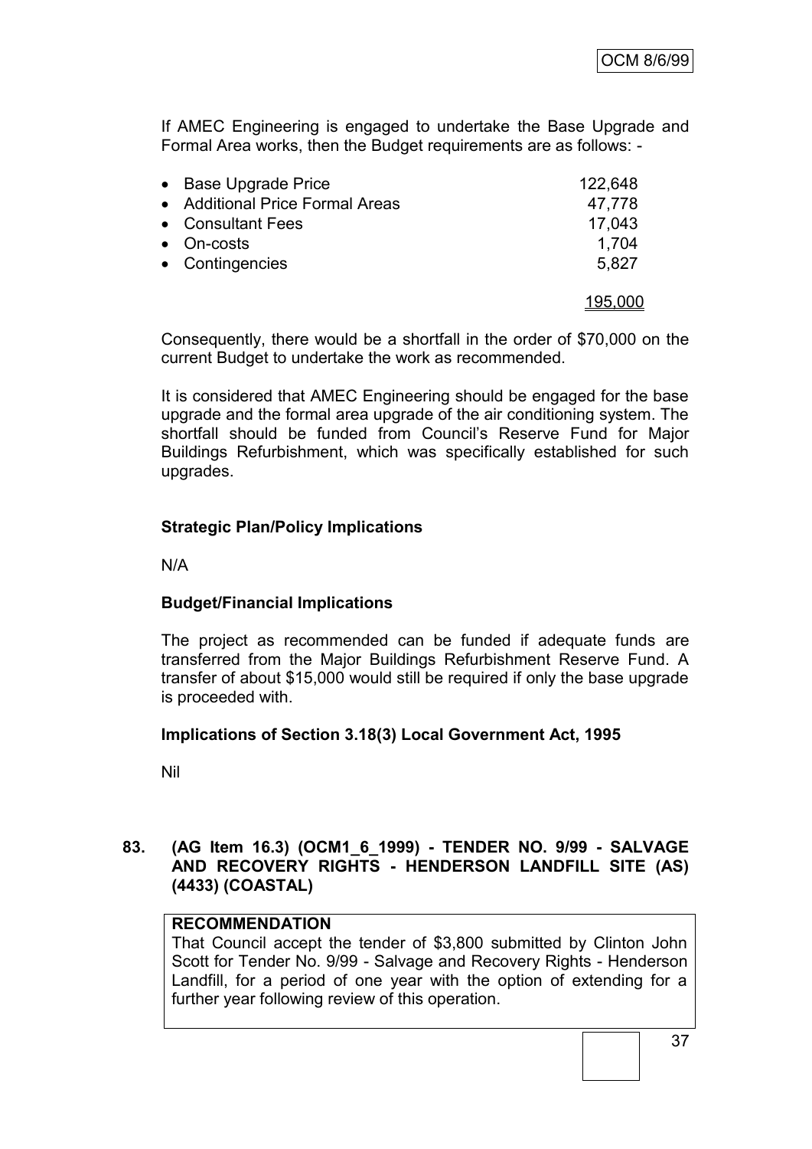If AMEC Engineering is engaged to undertake the Base Upgrade and Formal Area works, then the Budget requirements are as follows: -

| • Base Upgrade Price            | 122,648 |
|---------------------------------|---------|
| • Additional Price Formal Areas | 47,778  |
| • Consultant Fees               | 17,043  |
| • On-costs                      | 1,704   |
| • Contingencies                 | 5,827   |
|                                 | 195,000 |

Consequently, there would be a shortfall in the order of \$70,000 on the current Budget to undertake the work as recommended.

It is considered that AMEC Engineering should be engaged for the base upgrade and the formal area upgrade of the air conditioning system. The shortfall should be funded from Council"s Reserve Fund for Major Buildings Refurbishment, which was specifically established for such upgrades.

# **Strategic Plan/Policy Implications**

N/A

## **Budget/Financial Implications**

The project as recommended can be funded if adequate funds are transferred from the Major Buildings Refurbishment Reserve Fund. A transfer of about \$15,000 would still be required if only the base upgrade is proceeded with.

## **Implications of Section 3.18(3) Local Government Act, 1995**

Nil

## **83. (AG Item 16.3) (OCM1\_6\_1999) - TENDER NO. 9/99 - SALVAGE AND RECOVERY RIGHTS - HENDERSON LANDFILL SITE (AS) (4433) (COASTAL)**

## **RECOMMENDATION**

That Council accept the tender of \$3,800 submitted by Clinton John Scott for Tender No. 9/99 - Salvage and Recovery Rights - Henderson Landfill, for a period of one year with the option of extending for a further year following review of this operation.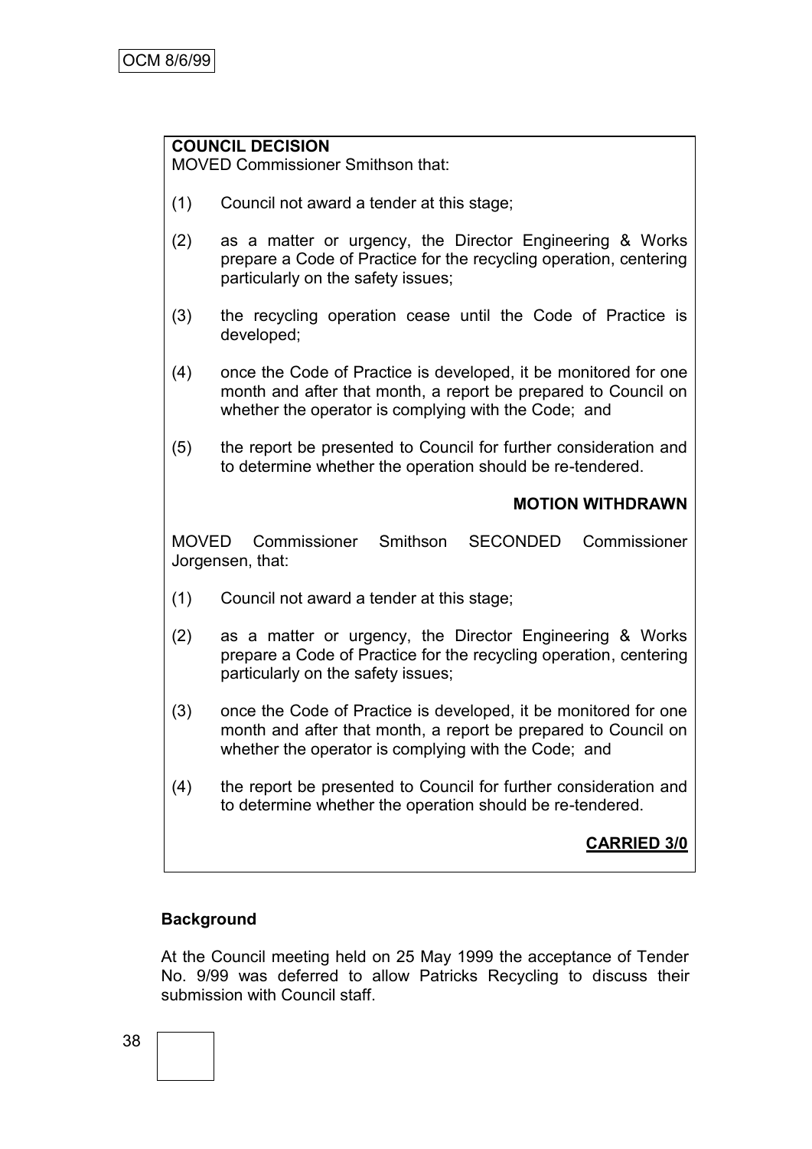# **COUNCIL DECISION**

MOVED Commissioner Smithson that:

- (1) Council not award a tender at this stage;
- (2) as a matter or urgency, the Director Engineering & Works prepare a Code of Practice for the recycling operation, centering particularly on the safety issues;
- (3) the recycling operation cease until the Code of Practice is developed;
- (4) once the Code of Practice is developed, it be monitored for one month and after that month, a report be prepared to Council on whether the operator is complying with the Code; and
- (5) the report be presented to Council for further consideration and to determine whether the operation should be re-tendered.

# **MOTION WITHDRAWN**

MOVED Commissioner Smithson SECONDED Commissioner Jorgensen, that:

- (1) Council not award a tender at this stage;
- (2) as a matter or urgency, the Director Engineering & Works prepare a Code of Practice for the recycling operation, centering particularly on the safety issues;
- (3) once the Code of Practice is developed, it be monitored for one month and after that month, a report be prepared to Council on whether the operator is complying with the Code; and
- (4) the report be presented to Council for further consideration and to determine whether the operation should be re-tendered.

# **CARRIED 3/0**

# **Background**

At the Council meeting held on 25 May 1999 the acceptance of Tender No. 9/99 was deferred to allow Patricks Recycling to discuss their submission with Council staff.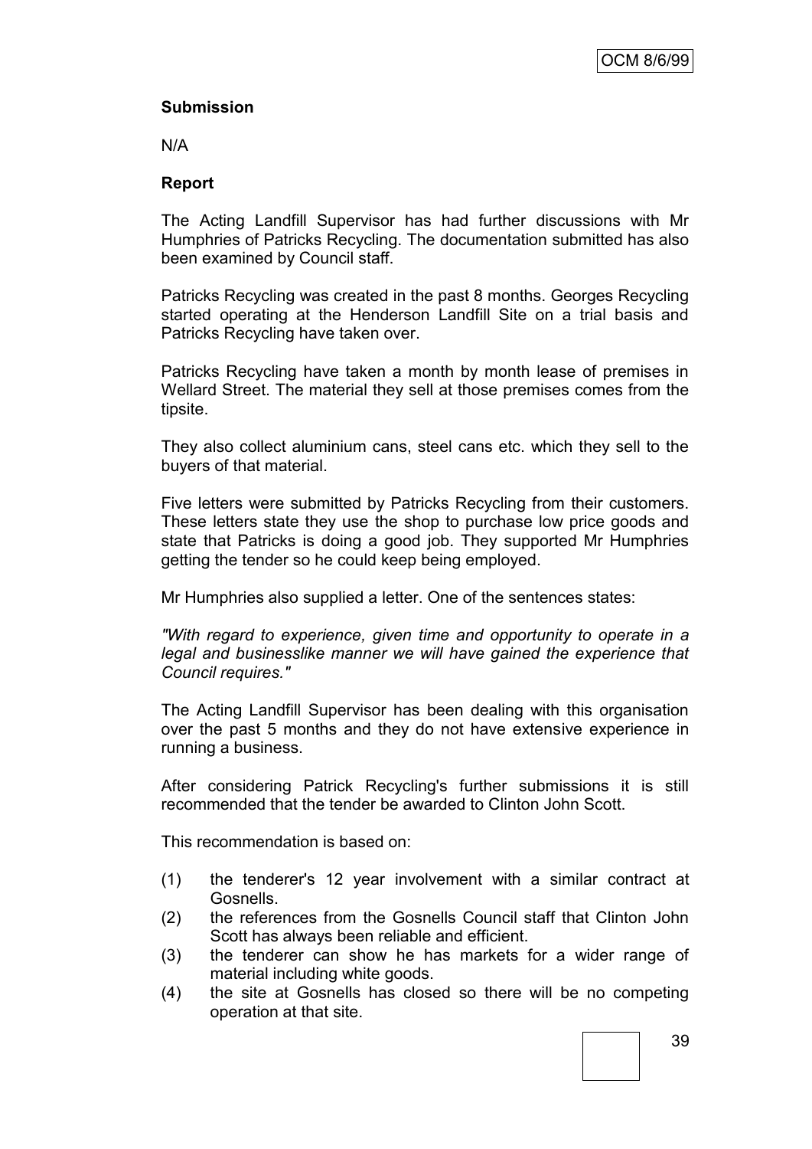# **Submission**

N/A

## **Report**

The Acting Landfill Supervisor has had further discussions with Mr Humphries of Patricks Recycling. The documentation submitted has also been examined by Council staff.

Patricks Recycling was created in the past 8 months. Georges Recycling started operating at the Henderson Landfill Site on a trial basis and Patricks Recycling have taken over.

Patricks Recycling have taken a month by month lease of premises in Wellard Street. The material they sell at those premises comes from the tipsite.

They also collect aluminium cans, steel cans etc. which they sell to the buyers of that material.

Five letters were submitted by Patricks Recycling from their customers. These letters state they use the shop to purchase low price goods and state that Patricks is doing a good job. They supported Mr Humphries getting the tender so he could keep being employed.

Mr Humphries also supplied a letter. One of the sentences states:

*"With regard to experience, given time and opportunity to operate in a legal and businesslike manner we will have gained the experience that Council requires."*

The Acting Landfill Supervisor has been dealing with this organisation over the past 5 months and they do not have extensive experience in running a business.

After considering Patrick Recycling's further submissions it is still recommended that the tender be awarded to Clinton John Scott.

This recommendation is based on:

- (1) the tenderer's 12 year involvement with a similar contract at Gosnells.
- (2) the references from the Gosnells Council staff that Clinton John Scott has always been reliable and efficient.
- (3) the tenderer can show he has markets for a wider range of material including white goods.
- (4) the site at Gosnells has closed so there will be no competing operation at that site.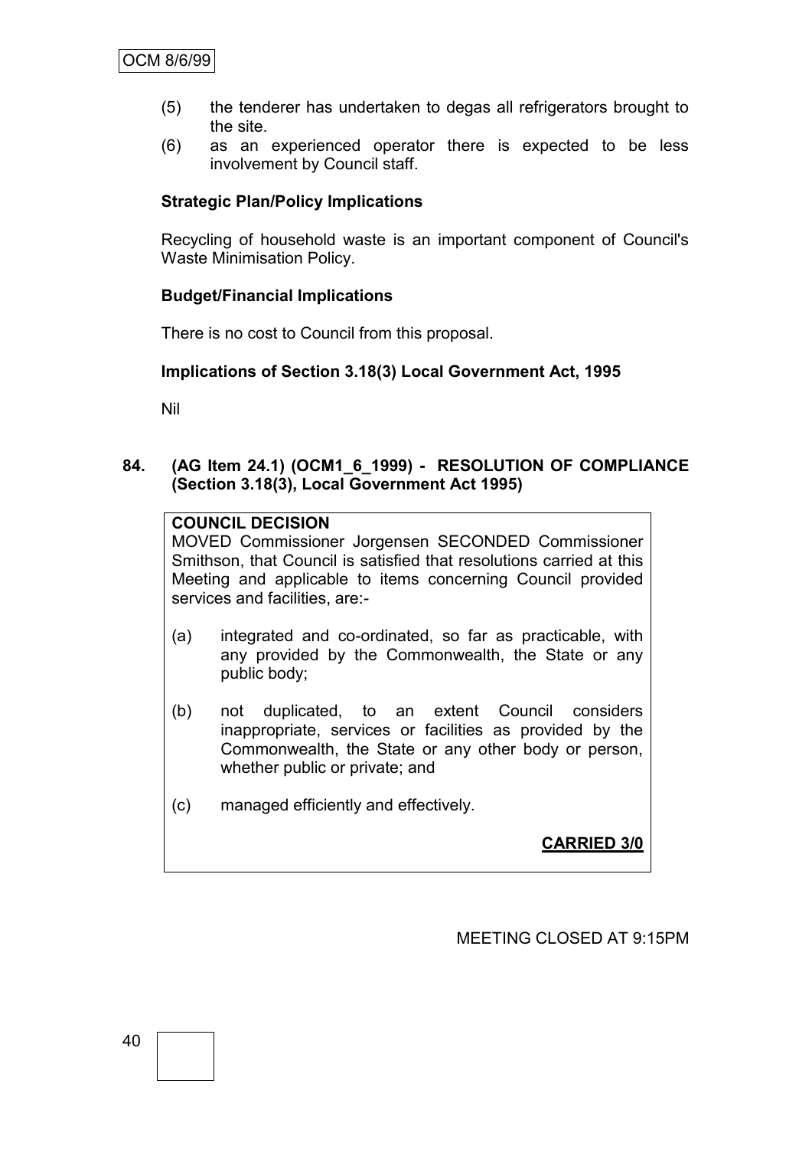- (5) the tenderer has undertaken to degas all refrigerators brought to the site.
- (6) as an experienced operator there is expected to be less involvement by Council staff.

# **Strategic Plan/Policy Implications**

Recycling of household waste is an important component of Council's Waste Minimisation Policy.

## **Budget/Financial Implications**

There is no cost to Council from this proposal.

## **Implications of Section 3.18(3) Local Government Act, 1995**

Nil

## **84. (AG Item 24.1) (OCM1\_6\_1999) - RESOLUTION OF COMPLIANCE (Section 3.18(3), Local Government Act 1995)**

# **COUNCIL DECISION**

MOVED Commissioner Jorgensen SECONDED Commissioner Smithson, that Council is satisfied that resolutions carried at this Meeting and applicable to items concerning Council provided services and facilities, are:-

- (a) integrated and co-ordinated, so far as practicable, with any provided by the Commonwealth, the State or any public body;
- (b) not duplicated, to an extent Council considers inappropriate, services or facilities as provided by the Commonwealth, the State or any other body or person, whether public or private; and
- (c) managed efficiently and effectively.

**CARRIED 3/0**

MEETING CLOSED AT 9:15PM